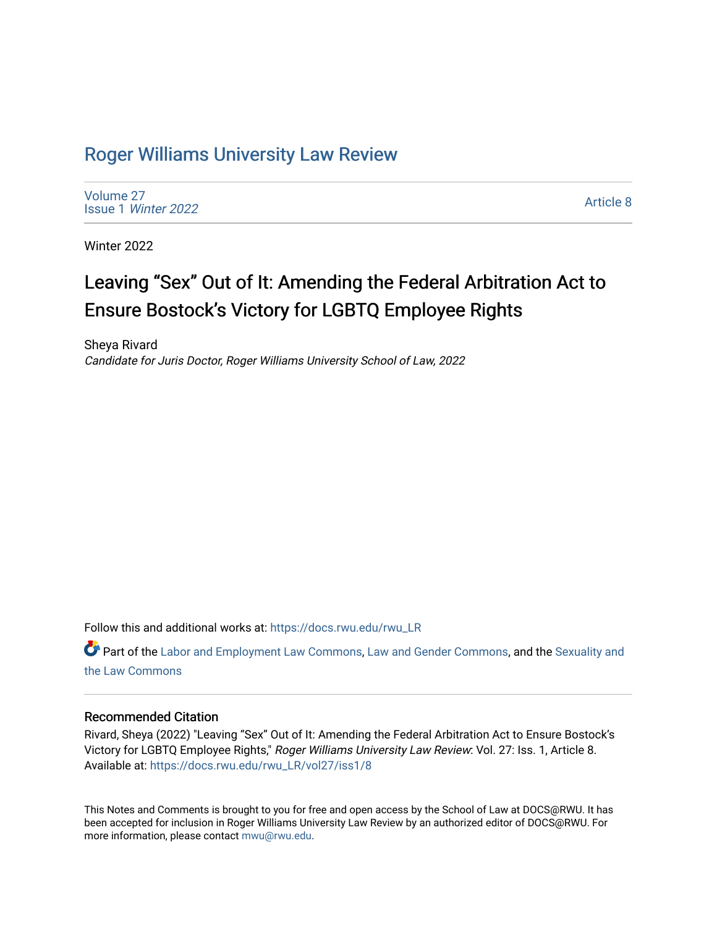## [Roger Williams University Law Review](https://docs.rwu.edu/rwu_LR)

[Volume 27](https://docs.rwu.edu/rwu_LR/vol27) Issue 1 [Winter 2022](https://docs.rwu.edu/rwu_LR/vol27/iss1) 

[Article 8](https://docs.rwu.edu/rwu_LR/vol27/iss1/8) 

Winter 2022

# Leaving "Sex" Out of It: Amending the Federal Arbitration Act to Ensure Bostock's Victory for LGBTQ Employee Rights

Sheya Rivard Candidate for Juris Doctor, Roger Williams University School of Law, 2022

Follow this and additional works at: [https://docs.rwu.edu/rwu\\_LR](https://docs.rwu.edu/rwu_LR?utm_source=docs.rwu.edu%2Frwu_LR%2Fvol27%2Fiss1%2F8&utm_medium=PDF&utm_campaign=PDFCoverPages) 

Part of the [Labor and Employment Law Commons](http://network.bepress.com/hgg/discipline/909?utm_source=docs.rwu.edu%2Frwu_LR%2Fvol27%2Fiss1%2F8&utm_medium=PDF&utm_campaign=PDFCoverPages), [Law and Gender Commons](http://network.bepress.com/hgg/discipline/1298?utm_source=docs.rwu.edu%2Frwu_LR%2Fvol27%2Fiss1%2F8&utm_medium=PDF&utm_campaign=PDFCoverPages), and the [Sexuality and](http://network.bepress.com/hgg/discipline/877?utm_source=docs.rwu.edu%2Frwu_LR%2Fvol27%2Fiss1%2F8&utm_medium=PDF&utm_campaign=PDFCoverPages) [the Law Commons](http://network.bepress.com/hgg/discipline/877?utm_source=docs.rwu.edu%2Frwu_LR%2Fvol27%2Fiss1%2F8&utm_medium=PDF&utm_campaign=PDFCoverPages)

### Recommended Citation

Rivard, Sheya (2022) "Leaving "Sex" Out of It: Amending the Federal Arbitration Act to Ensure Bostock's Victory for LGBTQ Employee Rights," Roger Williams University Law Review: Vol. 27: Iss. 1, Article 8. Available at: [https://docs.rwu.edu/rwu\\_LR/vol27/iss1/8](https://docs.rwu.edu/rwu_LR/vol27/iss1/8?utm_source=docs.rwu.edu%2Frwu_LR%2Fvol27%2Fiss1%2F8&utm_medium=PDF&utm_campaign=PDFCoverPages) 

This Notes and Comments is brought to you for free and open access by the School of Law at DOCS@RWU. It has been accepted for inclusion in Roger Williams University Law Review by an authorized editor of DOCS@RWU. For more information, please contact [mwu@rwu.edu](mailto:mwu@rwu.edu).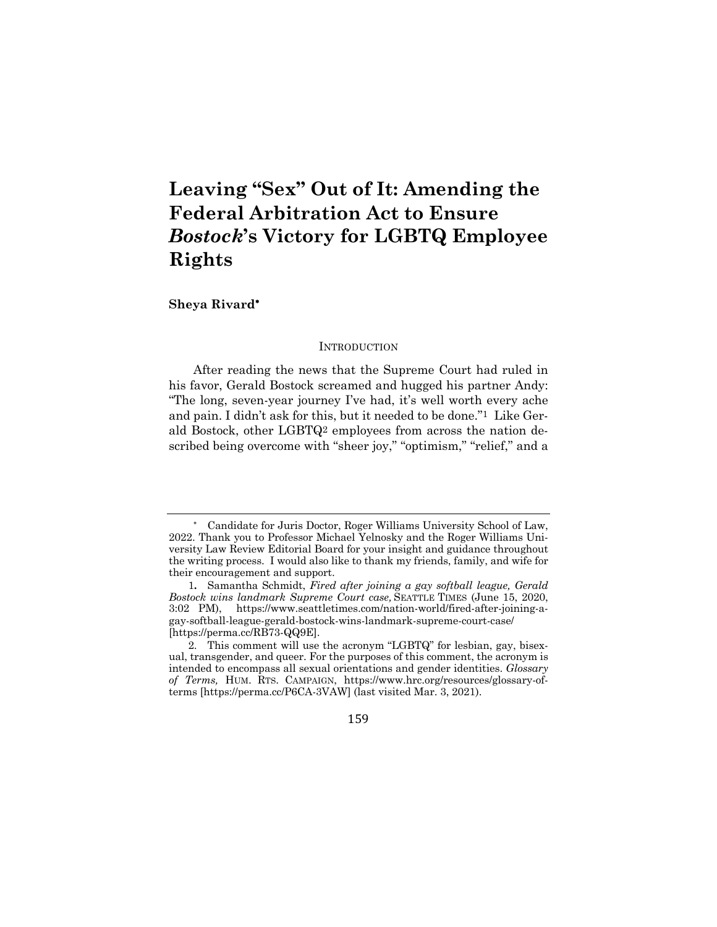## **Leaving "Sex" Out of It: Amending the Federal Arbitration Act to Ensure**  *Bostock***'s Victory for LGBTQ Employee Rights**

**Sheya Rivard**\*

#### **INTRODUCTION**

After reading the news that the Supreme Court had ruled in his favor, Gerald Bostock screamed and hugged his partner Andy: "The long, seven-year journey I've had, it's well worth every ache and pain. I didn't ask for this, but it needed to be done."1 Like Gerald Bostock, other LGBTQ2 employees from across the nation described being overcome with "sheer joy," "optimism," "relief," and a

<sup>2.</sup> This comment will use the acronym "LGBTQ" for lesbian, gay, bisexual, transgender, and queer. For the purposes of this comment, the acronym is intended to encompass all sexual orientations and gender identities. *Glossary of Terms,* HUM. RTS. CAMPAIGN, https://www.hrc.org/resources/glossary-ofterms [https://perma.cc/P6CA-3VAW] (last visited Mar. 3, 2021).



Candidate for Juris Doctor, Roger Williams University School of Law, 2022. Thank you to Professor Michael Yelnosky and the Roger Williams University Law Review Editorial Board for your insight and guidance throughout the writing process. I would also like to thank my friends, family, and wife for their encouragement and support.

<sup>1</sup>**.** Samantha Schmidt, *Fired after joining a gay softball league, Gerald Bostock wins landmark Supreme Court case,* SEATTLE TIMES (June 15, 2020, 3:02 PM), https://www.seattletimes.com/nation-world/fired-after-joining-agay-softball-league-gerald-bostock-wins-landmark-supreme-court-case/ [https://perma.cc/RB73-QQ9E].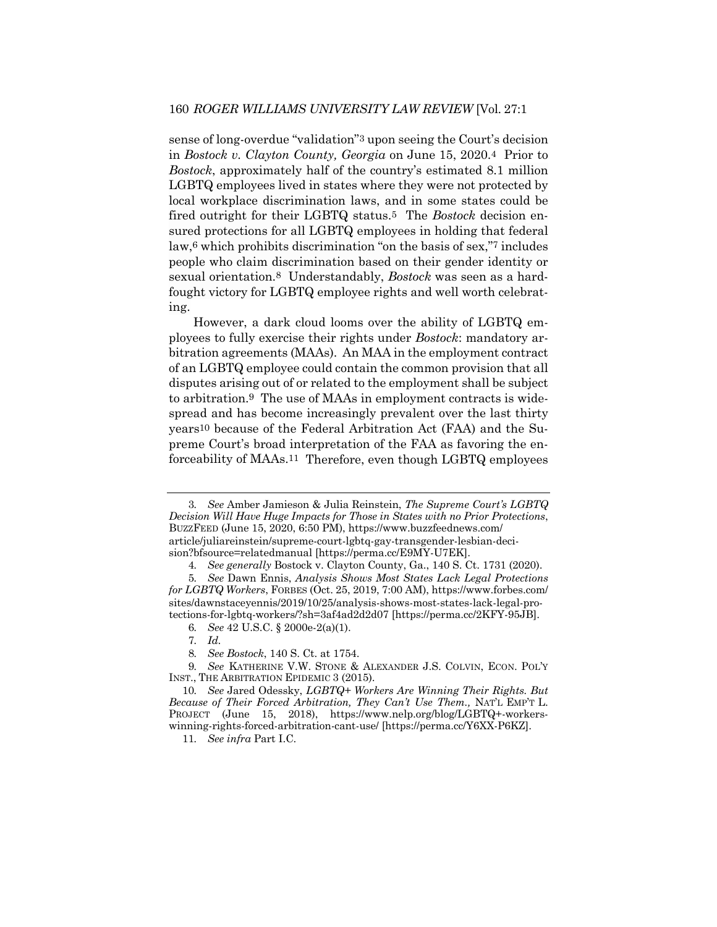sense of long-overdue "validation"3 upon seeing the Court's decision in *Bostock v. Clayton County, Georgia* on June 15, 2020.4 Prior to *Bostock*, approximately half of the country's estimated 8.1 million LGBTQ employees lived in states where they were not protected by local workplace discrimination laws, and in some states could be fired outright for their LGBTQ status.5 The *Bostock* decision ensured protections for all LGBTQ employees in holding that federal law,6 which prohibits discrimination "on the basis of sex,"7 includes people who claim discrimination based on their gender identity or sexual orientation.8 Understandably, *Bostock* was seen as a hardfought victory for LGBTQ employee rights and well worth celebrating.

However, a dark cloud looms over the ability of LGBTQ employees to fully exercise their rights under *Bostock*: mandatory arbitration agreements (MAAs). An MAA in the employment contract of an LGBTQ employee could contain the common provision that all disputes arising out of or related to the employment shall be subject to arbitration.9 The use of MAAs in employment contracts is widespread and has become increasingly prevalent over the last thirty years10 because of the Federal Arbitration Act (FAA) and the Supreme Court's broad interpretation of the FAA as favoring the enforceability of MAAs.11 Therefore, even though LGBTQ employees

11*. See infra* Part I.C.

<sup>3</sup>*. See* Amber Jamieson & Julia Reinstein, *The Supreme Court's LGBTQ Decision Will Have Huge Impacts for Those in States with no Prior Protections*, BUZZFEED (June 15, 2020, 6:50 PM), https://www.buzzfeednews.com/ article/juliareinstein/supreme-court-lgbtq-gay-transgender-lesbian-decision?bfsource=relatedmanual [https://perma.cc/E9MY-U7EK].

<sup>4</sup>*. See generally* Bostock v. Clayton County, Ga., 140 S. Ct. 1731 (2020).

<sup>5</sup>*. See* Dawn Ennis, *Analysis Shows Most States Lack Legal Protections for LGBTQ Workers*, FORBES (Oct. 25, 2019, 7:00 AM), https://www.forbes.com/ sites/dawnstaceyennis/2019/10/25/analysis-shows-most-states-lack-legal-protections-for-lgbtq-workers/?sh=3af4ad2d2d07 [https://perma.cc/2KFY-95JB].

<sup>6</sup>*. See* 42 U.S.C. § 2000e-2(a)(1).

<sup>7</sup>*. Id.*

<sup>8</sup>*. See Bostock*, 140 S. Ct. at 1754.

<sup>9</sup>*. See* KATHERINE V.W. STONE & ALEXANDER J.S. COLVIN, ECON. POL'Y INST., THE ARBITRATION EPIDEMIC 3 (2015).

<sup>10</sup>*. See* Jared Odessky, *LGBTQ+ Workers Are Winning Their Rights. But Because of Their Forced Arbitration, They Can't Use Them.,* NAT'L EMP'T L. PROJECT (June 15, 2018), https://www.nelp.org/blog/LGBTQ+-workerswinning-rights-forced-arbitration-cant-use/ [https://perma.cc/Y6XX-P6KZ].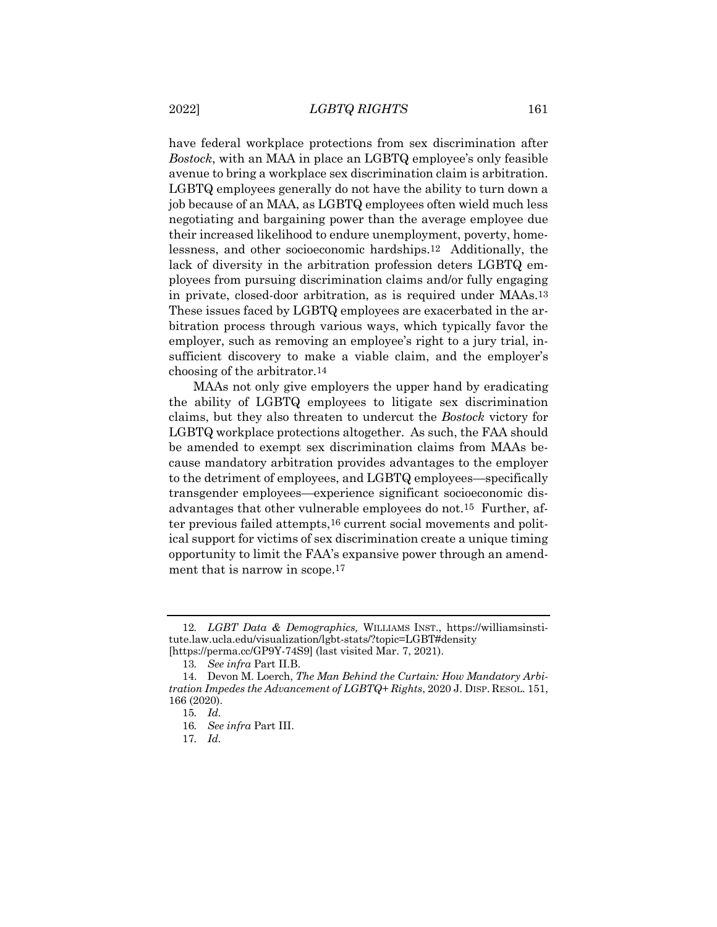have federal workplace protections from sex discrimination after *Bostock*, with an MAA in place an LGBTQ employee's only feasible avenue to bring a workplace sex discrimination claim is arbitration. LGBTQ employees generally do not have the ability to turn down a job because of an MAA, as LGBTQ employees often wield much less negotiating and bargaining power than the average employee due their increased likelihood to endure unemployment, poverty, homelessness, and other socioeconomic hardships.12 Additionally, the lack of diversity in the arbitration profession deters LGBTQ employees from pursuing discrimination claims and/or fully engaging in private, closed-door arbitration, as is required under MAAs.13 These issues faced by LGBTQ employees are exacerbated in the arbitration process through various ways, which typically favor the employer, such as removing an employee's right to a jury trial, insufficient discovery to make a viable claim, and the employer's choosing of the arbitrator.14

MAAs not only give employers the upper hand by eradicating the ability of LGBTQ employees to litigate sex discrimination claims, but they also threaten to undercut the *Bostock* victory for LGBTQ workplace protections altogether. As such, the FAA should be amended to exempt sex discrimination claims from MAAs because mandatory arbitration provides advantages to the employer to the detriment of employees, and LGBTQ employees—specifically transgender employees—experience significant socioeconomic disadvantages that other vulnerable employees do not.15 Further, after previous failed attempts,<sup>16</sup> current social movements and political support for victims of sex discrimination create a unique timing opportunity to limit the FAA's expansive power through an amendment that is narrow in scope.<sup>17</sup>

<sup>12</sup>*. LGBT Data & Demographics,* WILLIAMS INST., https://williamsinstitute.law.ucla.edu/visualization/lgbt-stats/?topic=LGBT#density [https://perma.cc/GP9Y-74S9] (last visited Mar. 7, 2021).

<sup>13</sup>*. See infra* Part II.B.

<sup>14.</sup> Devon M. Loerch, *The Man Behind the Curtain: How Mandatory Arbitration Impedes the Advancement of LGBTQ+ Rights*, 2020 J. DISP. RESOL. 151, 166 (2020).

<sup>15</sup>*. Id.*

<sup>16</sup>*. See infra* Part III.

<sup>17</sup>*. Id.*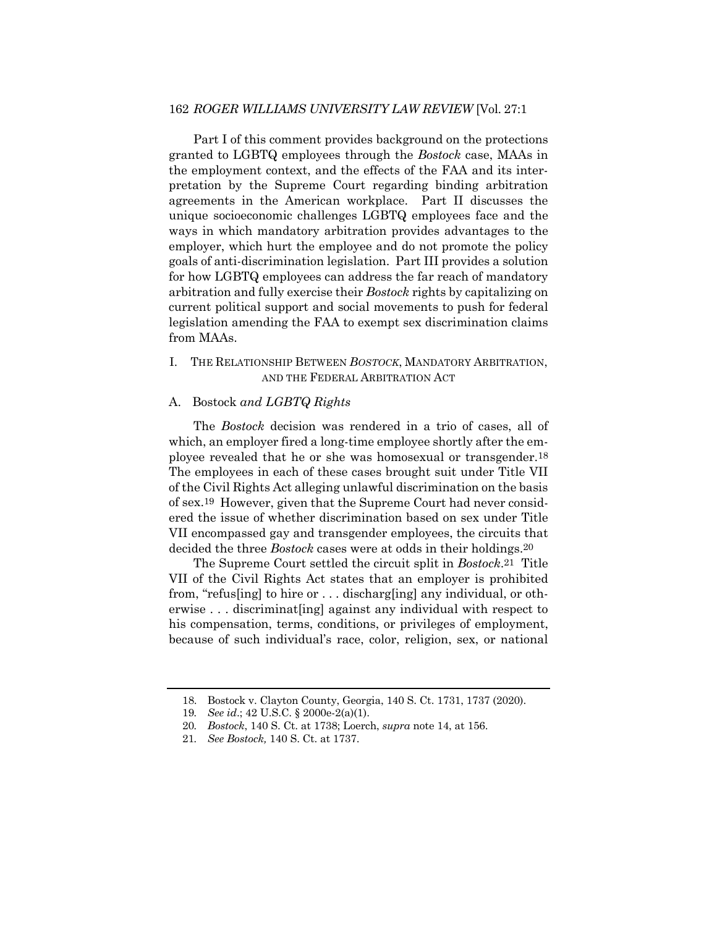#### 162 *ROGER WILLIAMS UNIVERSITY LAW REVIEW* [Vol. 27:1

Part I of this comment provides background on the protections granted to LGBTQ employees through the *Bostock* case, MAAs in the employment context, and the effects of the FAA and its interpretation by the Supreme Court regarding binding arbitration agreements in the American workplace. Part II discusses the unique socioeconomic challenges LGBTQ employees face and the ways in which mandatory arbitration provides advantages to the employer, which hurt the employee and do not promote the policy goals of anti-discrimination legislation. Part III provides a solution for how LGBTQ employees can address the far reach of mandatory arbitration and fully exercise their *Bostock* rights by capitalizing on current political support and social movements to push for federal legislation amending the FAA to exempt sex discrimination claims from MAAs.

## I. THE RELATIONSHIP BETWEEN *BOSTOCK*, MANDATORY ARBITRATION, AND THE FEDERAL ARBITRATION ACT

#### A. Bostock *and LGBTQ Rights*

The *Bostock* decision was rendered in a trio of cases, all of which, an employer fired a long-time employee shortly after the employee revealed that he or she was homosexual or transgender.18 The employees in each of these cases brought suit under Title VII of the Civil Rights Act alleging unlawful discrimination on the basis of sex.19 However, given that the Supreme Court had never considered the issue of whether discrimination based on sex under Title VII encompassed gay and transgender employees, the circuits that decided the three *Bostock* cases were at odds in their holdings.20

The Supreme Court settled the circuit split in *Bostock*.21 Title VII of the Civil Rights Act states that an employer is prohibited from, "refus[ing] to hire or . . . discharg[ing] any individual, or otherwise . . . discriminat[ing] against any individual with respect to his compensation, terms, conditions, or privileges of employment, because of such individual's race, color, religion, sex, or national

<sup>18.</sup> Bostock v. Clayton County, Georgia, 140 S. Ct. 1731, 1737 (2020).

<sup>19</sup>*. See id*.; 42 U.S.C. § 2000e-2(a)(1).

<sup>20</sup>*. Bostock*, 140 S. Ct. at 1738; Loerch, *supra* note 14, at 156.

<sup>21</sup>*. See Bostock,* 140 S. Ct. at 1737.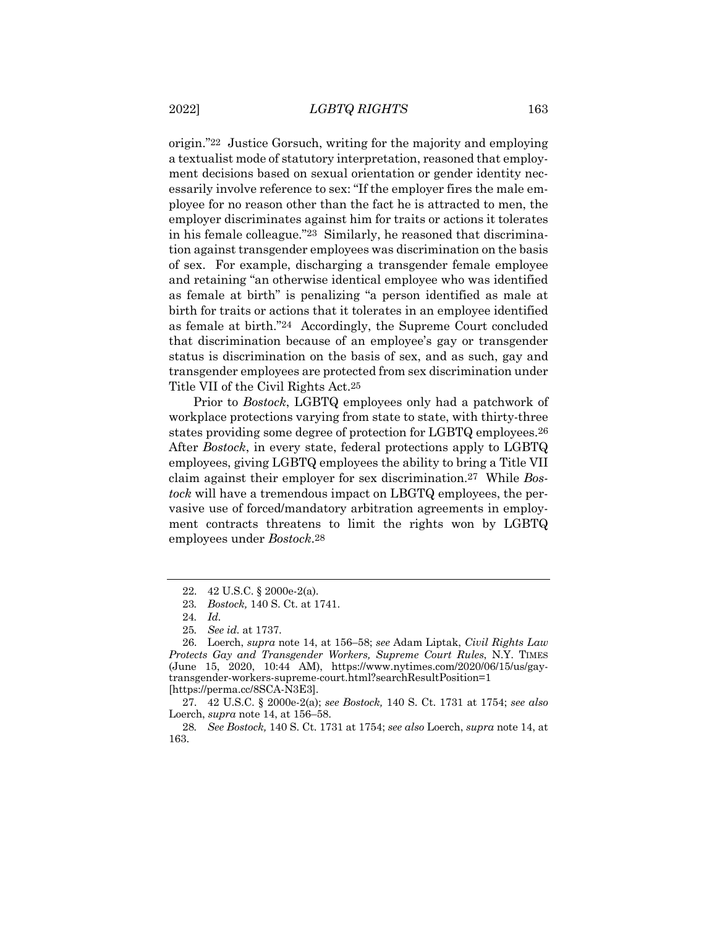origin."22 Justice Gorsuch, writing for the majority and employing a textualist mode of statutory interpretation, reasoned that employment decisions based on sexual orientation or gender identity necessarily involve reference to sex: "If the employer fires the male employee for no reason other than the fact he is attracted to men, the employer discriminates against him for traits or actions it tolerates in his female colleague."23 Similarly, he reasoned that discrimination against transgender employees was discrimination on the basis of sex. For example, discharging a transgender female employee and retaining "an otherwise identical employee who was identified as female at birth" is penalizing "a person identified as male at birth for traits or actions that it tolerates in an employee identified as female at birth."24 Accordingly, the Supreme Court concluded that discrimination because of an employee's gay or transgender status is discrimination on the basis of sex, and as such, gay and transgender employees are protected from sex discrimination under Title VII of the Civil Rights Act.25

Prior to *Bostock*, LGBTQ employees only had a patchwork of workplace protections varying from state to state, with thirty-three states providing some degree of protection for LGBTQ employees.26 After *Bostock*, in every state, federal protections apply to LGBTQ employees, giving LGBTQ employees the ability to bring a Title VII claim against their employer for sex discrimination.27 While *Bostock* will have a tremendous impact on LBGTQ employees, the pervasive use of forced/mandatory arbitration agreements in employment contracts threatens to limit the rights won by LGBTQ employees under *Bostock*.28

<sup>22.</sup> 42 U.S.C. § 2000e-2(a).

<sup>23</sup>*. Bostock,* 140 S. Ct. at 1741.

<sup>24</sup>*. Id.*

<sup>25</sup>*. See id.* at 1737.

<sup>26.</sup> Loerch, *supra* note 14, at 156–58; *see* Adam Liptak, *Civil Rights Law Protects Gay and Transgender Workers, Supreme Court Rules*, N.Y. TIMES (June 15, 2020, 10:44 AM), https://www.nytimes.com/2020/06/15/us/gaytransgender-workers-supreme-court.html?searchResultPosition=1 [https://perma.cc/8SCA-N3E3].

<sup>27.</sup> 42 U.S.C. § 2000e-2(a); *see Bostock,* 140 S. Ct. 1731 at 1754; *see also* Loerch, *supra* note 14, at 156–58.

<sup>28</sup>*. See Bostock,* 140 S. Ct. 1731 at 1754; *see also* Loerch, *supra* note 14, at 163.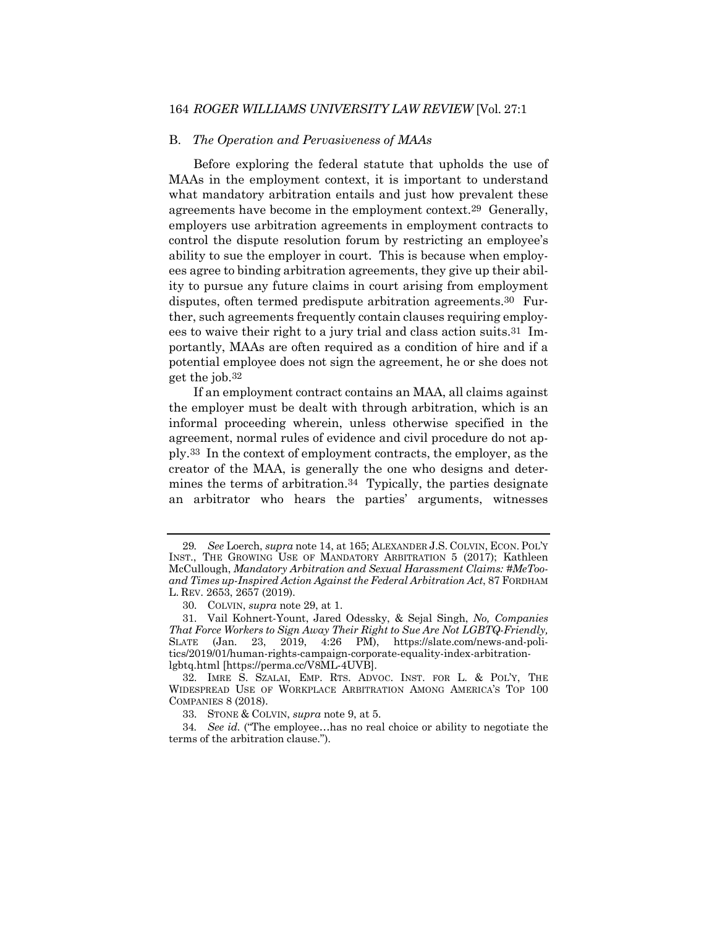#### 164 *ROGER WILLIAMS UNIVERSITY LAW REVIEW* [Vol. 27:1

#### B. *The Operation and Pervasiveness of MAAs*

Before exploring the federal statute that upholds the use of MAAs in the employment context, it is important to understand what mandatory arbitration entails and just how prevalent these agreements have become in the employment context.29 Generally, employers use arbitration agreements in employment contracts to control the dispute resolution forum by restricting an employee's ability to sue the employer in court. This is because when employees agree to binding arbitration agreements, they give up their ability to pursue any future claims in court arising from employment disputes, often termed predispute arbitration agreements.30 Further, such agreements frequently contain clauses requiring employees to waive their right to a jury trial and class action suits.31 Importantly, MAAs are often required as a condition of hire and if a potential employee does not sign the agreement, he or she does not get the job.32

If an employment contract contains an MAA, all claims against the employer must be dealt with through arbitration, which is an informal proceeding wherein, unless otherwise specified in the agreement, normal rules of evidence and civil procedure do not apply.33 In the context of employment contracts, the employer, as the creator of the MAA, is generally the one who designs and determines the terms of arbitration.34 Typically, the parties designate an arbitrator who hears the parties' arguments, witnesses

<sup>29</sup>*. See* Loerch, *supra* note 14, at 165; ALEXANDER J.S. COLVIN, ECON. POL'Y INST., THE GROWING USE OF MANDATORY ARBITRATION 5 (2017); Kathleen McCullough, *Mandatory Arbitration and Sexual Harassment Claims: #MeTooand Times up-Inspired Action Against the Federal Arbitration Act*, 87 FORDHAM L. REV. 2653, 2657 (2019).

<sup>30.</sup> COLVIN, *supra* note 29, at 1.

<sup>31.</sup> Vail Kohnert-Yount, Jared Odessky, & Sejal Singh, *No, Companies That Force Workers to Sign Away Their Right to Sue Are Not LGBTQ-Friendly,*  SLATE (Jan. 23, 2019, 4:26 PM), https://slate.com/news-and-politics/2019/01/human-rights-campaign-corporate-equality-index-arbitrationlgbtq.html [https://perma.cc/V8ML-4UVB].

<sup>32.</sup> IMRE S. SZALAI, EMP. RTS. ADVOC. INST. FOR L. & POL'Y, THE WIDESPREAD USE OF WORKPLACE ARBITRATION AMONG AMERICA'S TOP 100 COMPANIES 8 (2018).

<sup>33.</sup> STONE & COLVIN, *supra* note 9, at 5.

<sup>34</sup>*. See id.* ("The employee…has no real choice or ability to negotiate the terms of the arbitration clause.").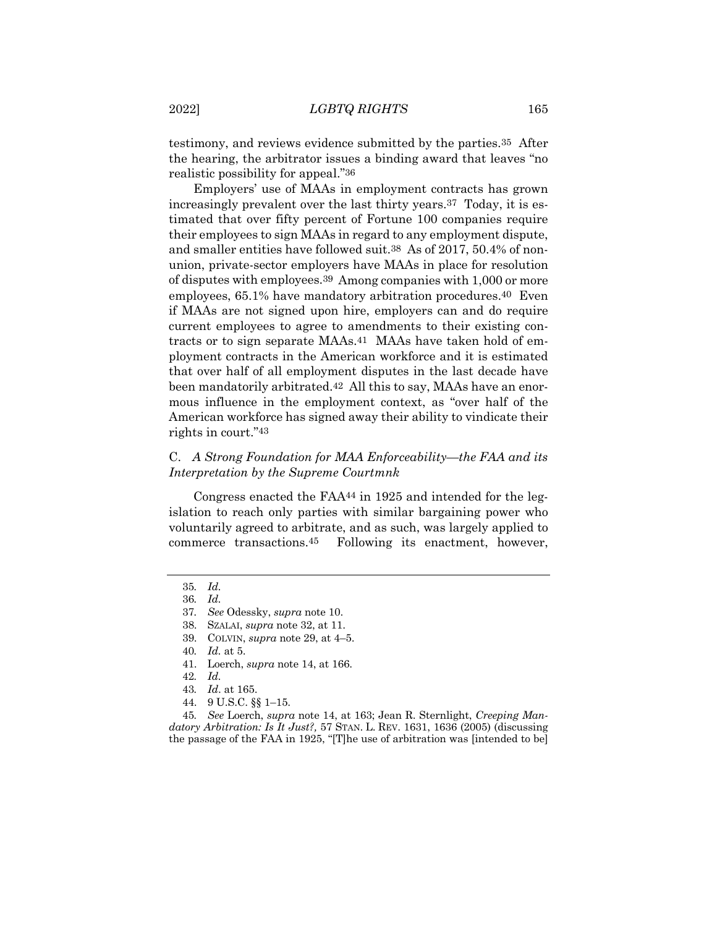testimony, and reviews evidence submitted by the parties.35 After the hearing, the arbitrator issues a binding award that leaves "no realistic possibility for appeal."36

Employers' use of MAAs in employment contracts has grown increasingly prevalent over the last thirty years.37 Today, it is estimated that over fifty percent of Fortune 100 companies require their employees to sign MAAs in regard to any employment dispute, and smaller entities have followed suit.38 As of 2017, 50.4% of nonunion, private-sector employers have MAAs in place for resolution of disputes with employees.39 Among companies with 1,000 or more employees, 65.1% have mandatory arbitration procedures.40 Even if MAAs are not signed upon hire, employers can and do require current employees to agree to amendments to their existing contracts or to sign separate MAAs.41 MAAs have taken hold of employment contracts in the American workforce and it is estimated that over half of all employment disputes in the last decade have been mandatorily arbitrated.42 All this to say, MAAs have an enormous influence in the employment context, as "over half of the American workforce has signed away their ability to vindicate their rights in court."43

### C. *A Strong Foundation for MAA Enforceability—the FAA and its Interpretation by the Supreme Courtmnk*

Congress enacted the FAA44 in 1925 and intended for the legislation to reach only parties with similar bargaining power who voluntarily agreed to arbitrate, and as such, was largely applied to commerce transactions.45 Following its enactment, however,

- 39. COLVIN, *supra* note 29, at 4–5.
- 40*. Id.* at 5.
- 41. Loerch, *supra* note 14, at 166.

44. 9 U.S.C. §§ 1–15.

45*. See* Loerch, *supra* note 14, at 163; Jean R. Sternlight, *Creeping Mandatory Arbitration: Is It Just?,* 57 STAN. L. REV. 1631, 1636 (2005) (discussing the passage of the FAA in 1925, "[T]he use of arbitration was [intended to be]

<sup>35</sup>*. Id.*

<sup>36</sup>*. Id.*

<sup>37</sup>*. See* Odessky, *supra* note 10.

<sup>38.</sup> SZALAI, *supra* note 32, at 11.

<sup>42</sup>*. Id.*

<sup>43</sup>*. Id*. at 165.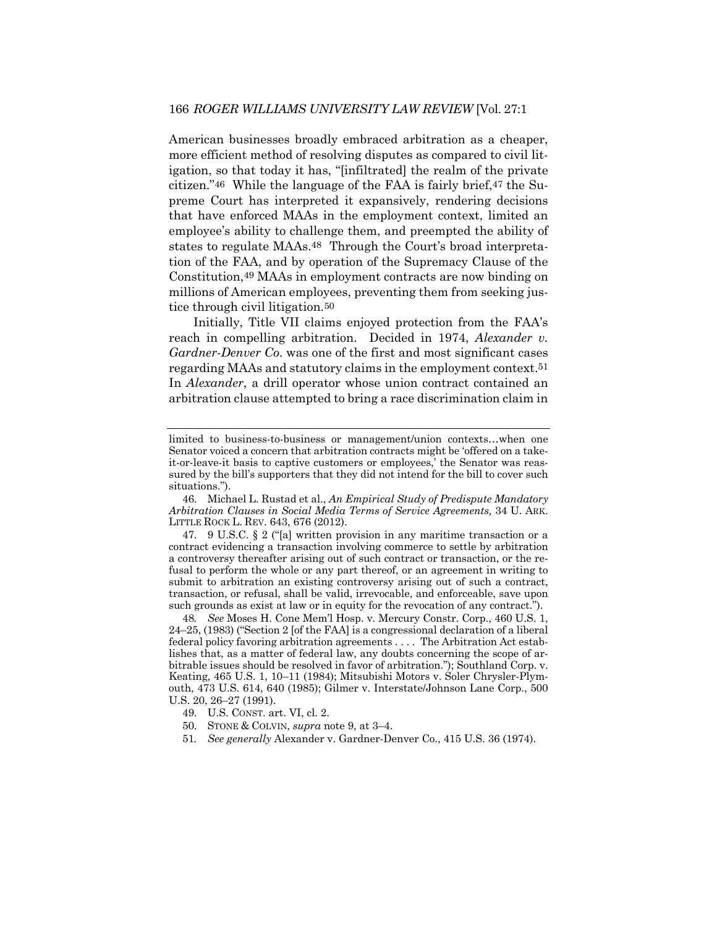American businesses broadly embraced arbitration as a cheaper, more efficient method of resolving disputes as compared to civil litigation, so that today it has, "[infiltrated] the realm of the private citizen."46 While the language of the FAA is fairly brief,47 the Supreme Court has interpreted it expansively, rendering decisions that have enforced MAAs in the employment context, limited an employee's ability to challenge them, and preempted the ability of states to regulate MAAs.48 Through the Court's broad interpretation of the FAA, and by operation of the Supremacy Clause of the Constitution,49 MAAs in employment contracts are now binding on millions of American employees, preventing them from seeking justice through civil litigation.50

Initially, Title VII claims enjoyed protection from the FAA's reach in compelling arbitration. Decided in 1974, *Alexander v. Gardner-Denver Co*. was one of the first and most significant cases regarding MAAs and statutory claims in the employment context.51 In *Alexander*, a drill operator whose union contract contained an arbitration clause attempted to bring a race discrimination claim in

47. 9 U.S.C. § 2 ("[a] written provision in any maritime transaction or a contract evidencing a transaction involving commerce to settle by arbitration a controversy thereafter arising out of such contract or transaction, or the refusal to perform the whole or any part thereof, or an agreement in writing to submit to arbitration an existing controversy arising out of such a contract, transaction, or refusal, shall be valid, irrevocable, and enforceable, save upon such grounds as exist at law or in equity for the revocation of any contract.").

48*. See* Moses H. Cone Mem'l Hosp. v. Mercury Constr. Corp., 460 U.S. 1, 24–25, (1983) ("Section 2 [of the FAA] is a congressional declaration of a liberal federal policy favoring arbitration agreements . . . . The Arbitration Act establishes that, as a matter of federal law, any doubts concerning the scope of arbitrable issues should be resolved in favor of arbitration."); Southland Corp. v. Keating*,* 465 U.S. 1, 10–11 (1984); Mitsubishi Motors v. Soler Chrysler-Plymouth, 473 U.S. 614, 640 (1985); Gilmer v. Interstate/Johnson Lane Corp., 500 U.S. 20, 26–27 (1991).

- 49. U.S. CONST. art. VI, cl. 2.
- 50. STONE & COLVIN, *supra* note 9, at 3–4.
- 51*. See generally* Alexander v. Gardner-Denver Co., 415 U.S. 36 (1974).

limited to business-to-business or management/union contexts…when one Senator voiced a concern that arbitration contracts might be 'offered on a takeit-or-leave-it basis to captive customers or employees,' the Senator was reassured by the bill's supporters that they did not intend for the bill to cover such situations.").

<sup>46.</sup> Michael L. Rustad et al., *An Empirical Study of Predispute Mandatory Arbitration Clauses in Social Media Terms of Service Agreements,* 34 U. ARK. LITTLE ROCK L. REV. 643, 676 (2012).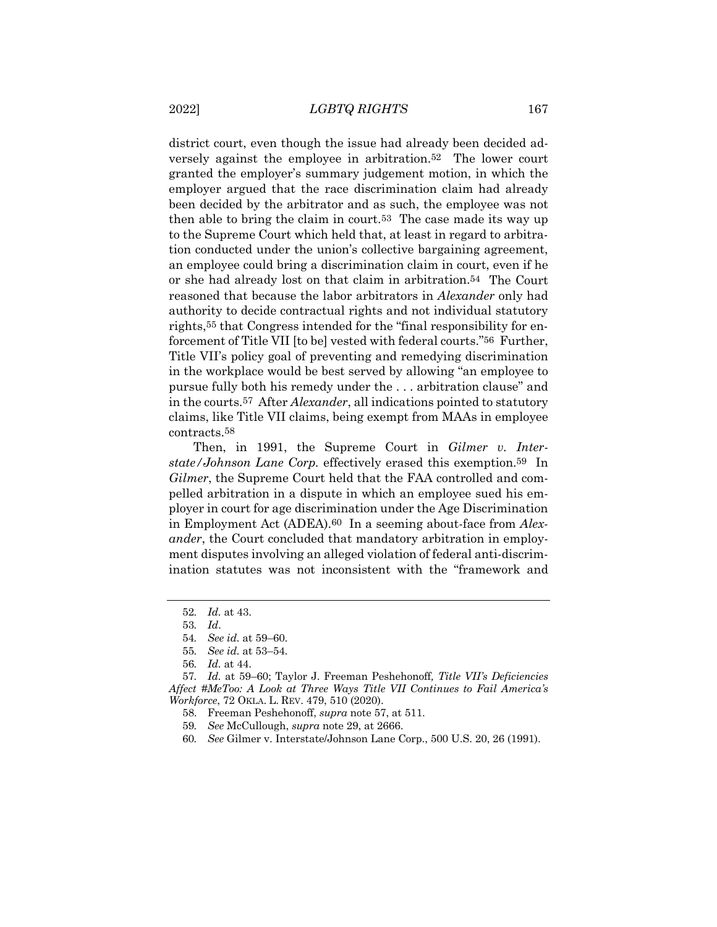district court, even though the issue had already been decided adversely against the employee in arbitration.52 The lower court granted the employer's summary judgement motion, in which the employer argued that the race discrimination claim had already been decided by the arbitrator and as such, the employee was not then able to bring the claim in court.53 The case made its way up to the Supreme Court which held that, at least in regard to arbitration conducted under the union's collective bargaining agreement, an employee could bring a discrimination claim in court, even if he or she had already lost on that claim in arbitration.54 The Court reasoned that because the labor arbitrators in *Alexander* only had authority to decide contractual rights and not individual statutory rights,55 that Congress intended for the "final responsibility for enforcement of Title VII [to be] vested with federal courts."56 Further, Title VII's policy goal of preventing and remedying discrimination in the workplace would be best served by allowing "an employee to pursue fully both his remedy under the . . . arbitration clause" and in the courts.57 After *Alexander*, all indications pointed to statutory claims, like Title VII claims, being exempt from MAAs in employee contracts.58

Then, in 1991, the Supreme Court in *Gilmer v. Interstate/Johnson Lane Corp.* effectively erased this exemption.59 In *Gilmer*, the Supreme Court held that the FAA controlled and compelled arbitration in a dispute in which an employee sued his employer in court for age discrimination under the Age Discrimination in Employment Act (ADEA).60 In a seeming about-face from *Alexander*, the Court concluded that mandatory arbitration in employment disputes involving an alleged violation of federal anti-discrimination statutes was not inconsistent with the "framework and

<sup>52</sup>*. Id.* at 43.

<sup>53</sup>*. Id*.

<sup>54</sup>*. See id.* at 59–60.

<sup>55</sup>*. See id.* at 53–54.

<sup>56</sup>*. Id.* at 44.

<sup>57</sup>*. Id.* at 59–60; Taylor J. Freeman Peshehonoff*, Title VII's Deficiencies Affect #MeToo: A Look at Three Ways Title VII Continues to Fail America's Workforce*, 72 OKLA. L. REV. 479, 510 (2020).

<sup>58.</sup> Freeman Peshehonoff, *supra* note 57, at 511.

<sup>59</sup>*. See* McCullough, *supra* note 29, at 2666.

<sup>60</sup>*. See* Gilmer v. Interstate/Johnson Lane Corp., 500 U.S. 20, 26 (1991).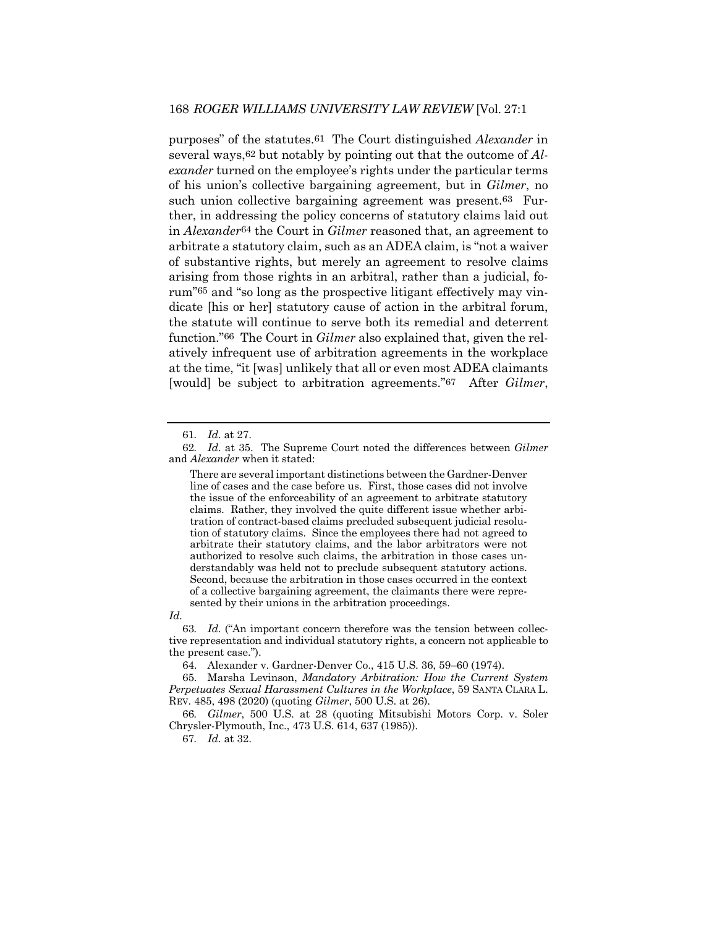purposes" of the statutes.61 The Court distinguished *Alexander* in several ways,62 but notably by pointing out that the outcome of *Alexander* turned on the employee's rights under the particular terms of his union's collective bargaining agreement, but in *Gilmer*, no such union collective bargaining agreement was present.63 Further, in addressing the policy concerns of statutory claims laid out in *Alexander*64 the Court in *Gilmer* reasoned that, an agreement to arbitrate a statutory claim, such as an ADEA claim, is "not a waiver of substantive rights, but merely an agreement to resolve claims arising from those rights in an arbitral, rather than a judicial, forum"65 and "so long as the prospective litigant effectively may vindicate [his or her] statutory cause of action in the arbitral forum, the statute will continue to serve both its remedial and deterrent function."66 The Court in *Gilmer* also explained that, given the relatively infrequent use of arbitration agreements in the workplace at the time, "it [was] unlikely that all or even most ADEA claimants [would] be subject to arbitration agreements."67 After *Gilmer*,

*Id.*

<sup>61</sup>*. Id.* at 27.

<sup>62</sup>*. Id.* at 35. The Supreme Court noted the differences between *Gilmer* and *Alexander* when it stated:

There are several important distinctions between the Gardner-Denver line of cases and the case before us. First, those cases did not involve the issue of the enforceability of an agreement to arbitrate statutory claims. Rather, they involved the quite different issue whether arbitration of contract-based claims precluded subsequent judicial resolution of statutory claims. Since the employees there had not agreed to arbitrate their statutory claims, and the labor arbitrators were not authorized to resolve such claims, the arbitration in those cases understandably was held not to preclude subsequent statutory actions. Second, because the arbitration in those cases occurred in the context of a collective bargaining agreement, the claimants there were represented by their unions in the arbitration proceedings.

<sup>63</sup>*. Id.* ("An important concern therefore was the tension between collective representation and individual statutory rights, a concern not applicable to the present case.").

<sup>64.</sup> Alexander v. Gardner-Denver Co., 415 U.S. 36, 59–60 (1974).

<sup>65.</sup> Marsha Levinson, *Mandatory Arbitration: How the Current System Perpetuates Sexual Harassment Cultures in the Workplace*, 59 SANTA CLARA L. REV. 485, 498 (2020) (quoting *Gilmer*, 500 U.S. at 26).

<sup>66</sup>*. Gilmer*, 500 U.S. at 28 (quoting Mitsubishi Motors Corp. v. Soler Chrysler-Plymouth, Inc., 473 U.S. 614, 637 (1985)).

<sup>67</sup>*. Id.* at 32.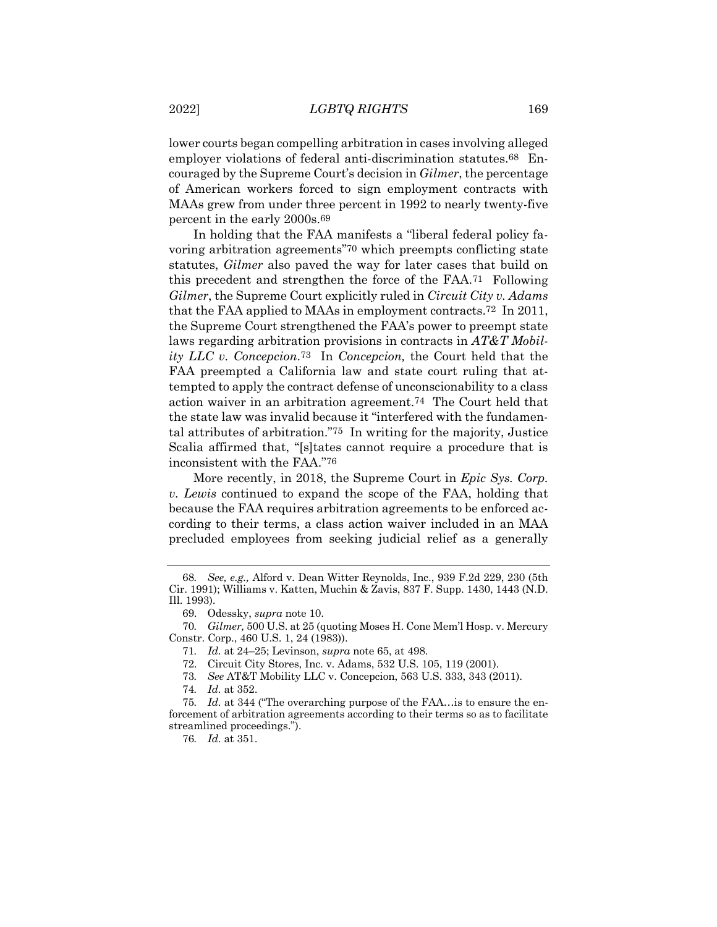lower courts began compelling arbitration in cases involving alleged employer violations of federal anti-discrimination statutes.68 Encouraged by the Supreme Court's decision in *Gilmer*, the percentage of American workers forced to sign employment contracts with MAAs grew from under three percent in 1992 to nearly twenty-five percent in the early 2000s.69

In holding that the FAA manifests a "liberal federal policy favoring arbitration agreements"70 which preempts conflicting state statutes, *Gilmer* also paved the way for later cases that build on this precedent and strengthen the force of the FAA.71 Following *Gilmer*, the Supreme Court explicitly ruled in *Circuit City v. Adams* that the FAA applied to MAAs in employment contracts.72 In 2011, the Supreme Court strengthened the FAA's power to preempt state laws regarding arbitration provisions in contracts in *AT&T Mobility LLC v. Concepcion*.73 In *Concepcion,* the Court held that the FAA preempted a California law and state court ruling that attempted to apply the contract defense of unconscionability to a class action waiver in an arbitration agreement.74 The Court held that the state law was invalid because it "interfered with the fundamental attributes of arbitration."75 In writing for the majority, Justice Scalia affirmed that, "[s]tates cannot require a procedure that is inconsistent with the FAA."76

More recently, in 2018, the Supreme Court in *Epic Sys. Corp. v. Lewis* continued to expand the scope of the FAA, holding that because the FAA requires arbitration agreements to be enforced according to their terms, a class action waiver included in an MAA precluded employees from seeking judicial relief as a generally

<sup>68</sup>*. See, e.g.,* Alford v. Dean Witter Reynolds, Inc., 939 F.2d 229, 230 (5th Cir. 1991); Williams v. Katten, Muchin & Zavis, 837 F. Supp. 1430, 1443 (N.D. Ill. 1993).

<sup>69.</sup> Odessky, *supra* note 10.

<sup>70</sup>*. Gilmer,* 500 U.S. at 25 (quoting Moses H. Cone Mem'l Hosp. v. Mercury Constr. Corp., 460 U.S. 1, 24 (1983)).

<sup>71</sup>*. Id.* at 24–25; Levinson, *supra* note 65, at 498.

<sup>72.</sup> Circuit City Stores, Inc. v. Adams, 532 U.S. 105, 119 (2001).

<sup>73</sup>*. See* AT&T Mobility LLC v. Concepcion, 563 U.S. 333, 343 (2011).

<sup>74</sup>*. Id.* at 352.

<sup>75</sup>*. Id.* at 344 ("The overarching purpose of the FAA…is to ensure the enforcement of arbitration agreements according to their terms so as to facilitate streamlined proceedings.").

<sup>76</sup>*. Id.* at 351.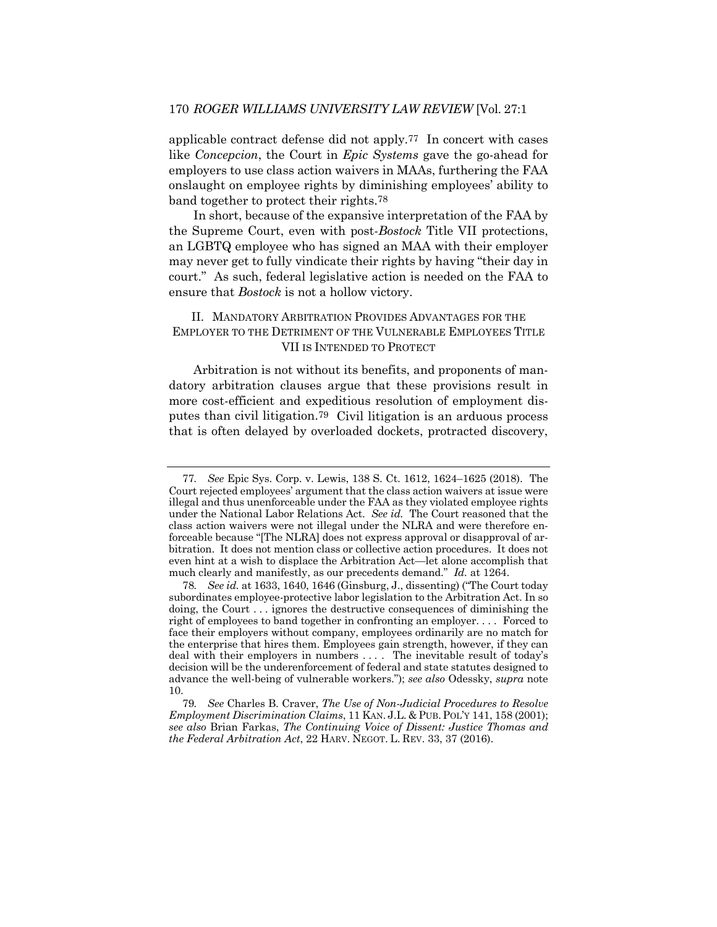applicable contract defense did not apply.77 In concert with cases like *Concepcion*, the Court in *Epic Systems* gave the go-ahead for employers to use class action waivers in MAAs, furthering the FAA onslaught on employee rights by diminishing employees' ability to band together to protect their rights.78

In short, because of the expansive interpretation of the FAA by the Supreme Court, even with post-*Bostock* Title VII protections, an LGBTQ employee who has signed an MAA with their employer may never get to fully vindicate their rights by having "their day in court." As such, federal legislative action is needed on the FAA to ensure that *Bostock* is not a hollow victory.

## II. MANDATORY ARBITRATION PROVIDES ADVANTAGES FOR THE EMPLOYER TO THE DETRIMENT OF THE VULNERABLE EMPLOYEES TITLE VII IS INTENDED TO PROTECT

Arbitration is not without its benefits, and proponents of mandatory arbitration clauses argue that these provisions result in more cost-efficient and expeditious resolution of employment disputes than civil litigation.79 Civil litigation is an arduous process that is often delayed by overloaded dockets, protracted discovery,

<sup>77</sup>*. See* Epic Sys. Corp. v. Lewis, 138 S. Ct. 1612, 1624–1625 (2018). The Court rejected employees' argument that the class action waivers at issue were illegal and thus unenforceable under the FAA as they violated employee rights under the National Labor Relations Act. *See id.* The Court reasoned that the class action waivers were not illegal under the NLRA and were therefore enforceable because "[The NLRA] does not express approval or disapproval of arbitration. It does not mention class or collective action procedures. It does not even hint at a wish to displace the Arbitration Act—let alone accomplish that much clearly and manifestly, as our precedents demand." *Id.* at 1264.

<sup>78</sup>*. See id.* at 1633, 1640, 1646 (Ginsburg, J., dissenting) ("The Court today subordinates employee-protective labor legislation to the Arbitration Act. In so doing, the Court . . . ignores the destructive consequences of diminishing the right of employees to band together in confronting an employer. . . . Forced to face their employers without company, employees ordinarily are no match for the enterprise that hires them. Employees gain strength, however, if they can deal with their employers in numbers . . . . The inevitable result of today's decision will be the underenforcement of federal and state statutes designed to advance the well-being of vulnerable workers."); *see also* Odessky, *supra* note 10.

<sup>79</sup>*. See* Charles B. Craver, *The Use of Non-Judicial Procedures to Resolve Employment Discrimination Claims*, 11 KAN. J.L. & PUB. POL'Y 141, 158 (2001); *see also* Brian Farkas, *The Continuing Voice of Dissent: Justice Thomas and the Federal Arbitration Act*, 22 HARV. NEGOT. L. REV. 33, 37 (2016).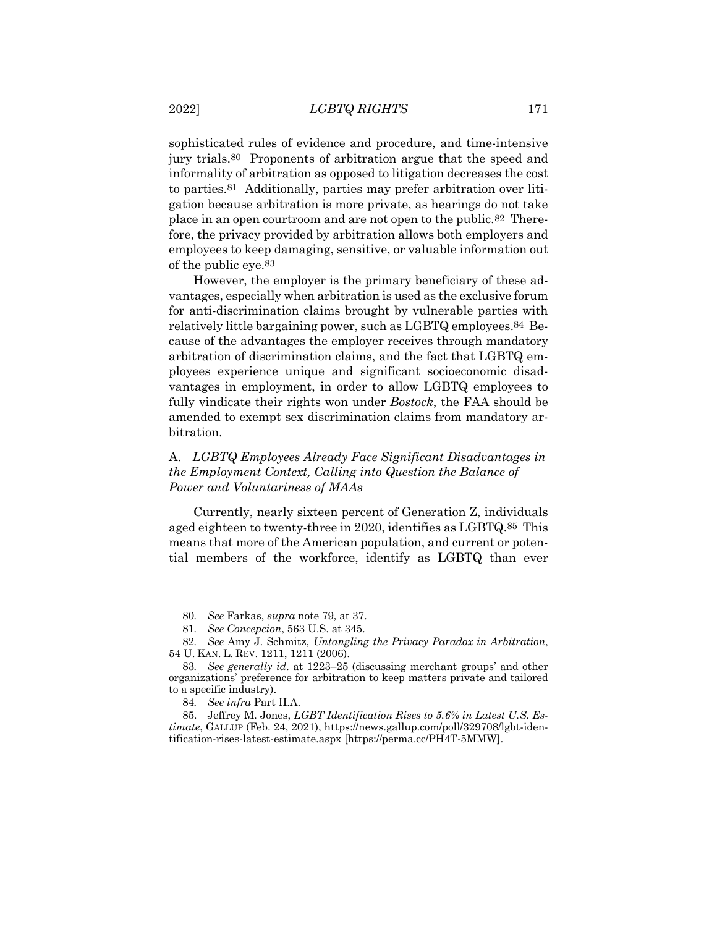sophisticated rules of evidence and procedure, and time-intensive jury trials.80 Proponents of arbitration argue that the speed and informality of arbitration as opposed to litigation decreases the cost to parties.81 Additionally, parties may prefer arbitration over litigation because arbitration is more private, as hearings do not take place in an open courtroom and are not open to the public.82 Therefore, the privacy provided by arbitration allows both employers and employees to keep damaging, sensitive, or valuable information out of the public eye.83

However, the employer is the primary beneficiary of these advantages, especially when arbitration is used as the exclusive forum for anti-discrimination claims brought by vulnerable parties with relatively little bargaining power, such as LGBTQ employees.84 Because of the advantages the employer receives through mandatory arbitration of discrimination claims, and the fact that LGBTQ employees experience unique and significant socioeconomic disadvantages in employment, in order to allow LGBTQ employees to fully vindicate their rights won under *Bostock*, the FAA should be amended to exempt sex discrimination claims from mandatory arbitration.

## A. *LGBTQ Employees Already Face Significant Disadvantages in the Employment Context, Calling into Question the Balance of Power and Voluntariness of MAAs*

Currently, nearly sixteen percent of Generation Z, individuals aged eighteen to twenty-three in 2020, identifies as LGBTQ.85 This means that more of the American population, and current or potential members of the workforce, identify as LGBTQ than ever

<sup>80</sup>*. See* Farkas, *supra* note 79, at 37.

<sup>81</sup>*. See Concepcion*, 563 U.S. at 345.

<sup>82</sup>*. See* Amy J. Schmitz, *Untangling the Privacy Paradox in Arbitration*, 54 U. KAN. L. REV. 1211, 1211 (2006).

<sup>83</sup>*. See generally id*. at 1223–25 (discussing merchant groups' and other organizations' preference for arbitration to keep matters private and tailored to a specific industry).

<sup>84</sup>*. See infra* Part II.A.

<sup>85.</sup> Jeffrey M. Jones, *LGBT Identification Rises to 5.6% in Latest U.S. Estimate*, GALLUP (Feb. 24, 2021), https://news.gallup.com/poll/329708/lgbt-identification-rises-latest-estimate.aspx [https://perma.cc/PH4T-5MMW].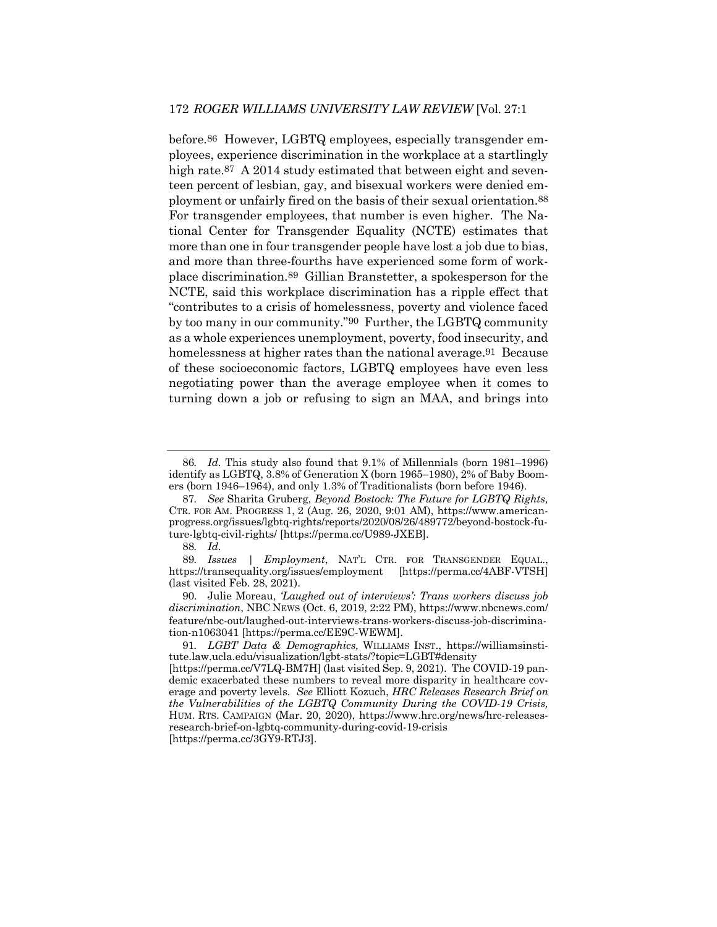before.86 However, LGBTQ employees, especially transgender employees, experience discrimination in the workplace at a startlingly high rate.<sup>87</sup> A 2014 study estimated that between eight and seventeen percent of lesbian, gay, and bisexual workers were denied employment or unfairly fired on the basis of their sexual orientation.88 For transgender employees, that number is even higher. The National Center for Transgender Equality (NCTE) estimates that more than one in four transgender people have lost a job due to bias, and more than three-fourths have experienced some form of workplace discrimination.89 Gillian Branstetter, a spokesperson for the NCTE, said this workplace discrimination has a ripple effect that "contributes to a crisis of homelessness, poverty and violence faced by too many in our community."90 Further, the LGBTQ community as a whole experiences unemployment, poverty, food insecurity, and homelessness at higher rates than the national average.<sup>91</sup> Because of these socioeconomic factors, LGBTQ employees have even less negotiating power than the average employee when it comes to turning down a job or refusing to sign an MAA, and brings into

<sup>86</sup>*. Id.* This study also found that 9.1% of Millennials (born 1981–1996) identify as LGBTQ, 3.8% of Generation X (born 1965–1980), 2% of Baby Boomers (born 1946–1964), and only 1.3% of Traditionalists (born before 1946).

<sup>87</sup>*. See* Sharita Gruberg, *Beyond Bostock: The Future for LGBTQ Rights,* CTR. FOR AM. PROGRESS 1, 2 (Aug. 26, 2020, 9:01 AM), https://www.americanprogress.org/issues/lgbtq-rights/reports/2020/08/26/489772/beyond-bostock-future-lgbtq-civil-rights/ [https://perma.cc/U989-JXEB].

<sup>88</sup>*. Id.*

<sup>89.</sup> *Issues* | *Employment*, NAT'L CTR. FOR TRANSGENDER EQUAL., tps://transequality.org/issues/employment [https://perma.cc/4ABF-VTSH] https://transequality.org/issues/employment (last visited Feb. 28, 2021).

<sup>90.</sup> Julie Moreau, *'Laughed out of interviews': Trans workers discuss job discrimination*, NBC NEWS (Oct. 6, 2019, 2:22 PM), https://www.nbcnews.com/ feature/nbc-out/laughed-out-interviews-trans-workers-discuss-job-discrimination-n1063041 [https://perma.cc/EE9C-WEWM].

<sup>91</sup>*. LGBT Data & Demographics,* WILLIAMS INST., https://williamsinstitute.law.ucla.edu/visualization/lgbt-stats/?topic=LGBT#density

<sup>[</sup>https://perma.cc/V7LQ-BM7H] (last visited Sep. 9, 2021). The COVID-19 pandemic exacerbated these numbers to reveal more disparity in healthcare coverage and poverty levels. *See* Elliott Kozuch, *HRC Releases Research Brief on the Vulnerabilities of the LGBTQ Community During the COVID-19 Crisis,*  HUM. RTS. CAMPAIGN (Mar. 20, 2020), https://www.hrc.org/news/hrc-releasesresearch-brief-on-lgbtq-community-during-covid-19-crisis [https://perma.cc/3GY9-RTJ3].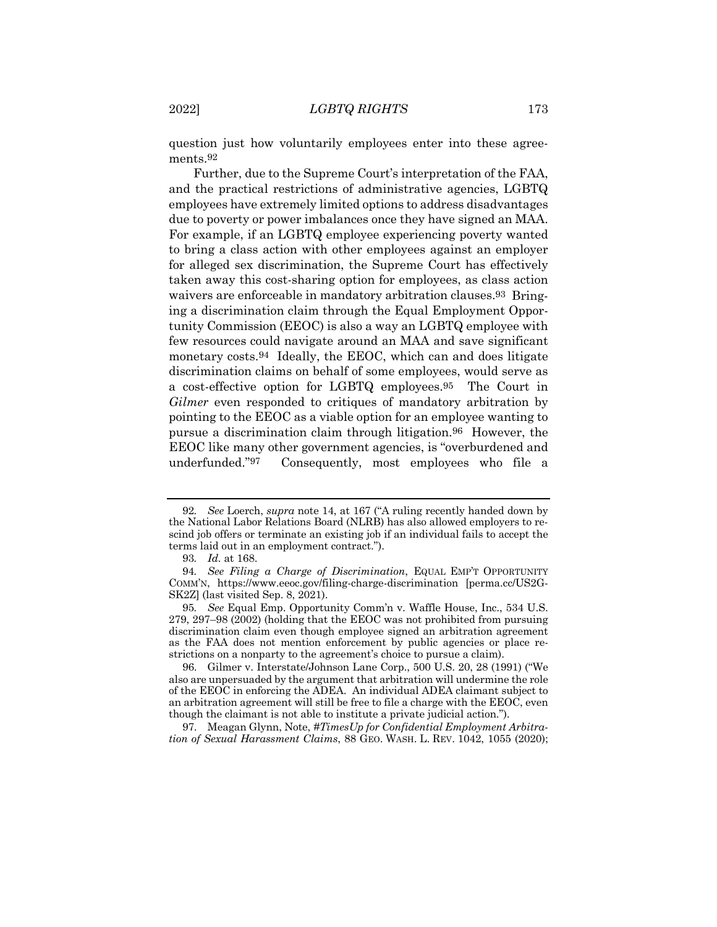question just how voluntarily employees enter into these agreements<sup>92</sup>

Further, due to the Supreme Court's interpretation of the FAA, and the practical restrictions of administrative agencies, LGBTQ employees have extremely limited options to address disadvantages due to poverty or power imbalances once they have signed an MAA. For example, if an LGBTQ employee experiencing poverty wanted to bring a class action with other employees against an employer for alleged sex discrimination, the Supreme Court has effectively taken away this cost-sharing option for employees, as class action waivers are enforceable in mandatory arbitration clauses.93 Bringing a discrimination claim through the Equal Employment Opportunity Commission (EEOC) is also a way an LGBTQ employee with few resources could navigate around an MAA and save significant monetary costs.94 Ideally, the EEOC, which can and does litigate discrimination claims on behalf of some employees, would serve as a cost-effective option for LGBTQ employees.95 The Court in *Gilmer* even responded to critiques of mandatory arbitration by pointing to the EEOC as a viable option for an employee wanting to pursue a discrimination claim through litigation.96 However, the EEOC like many other government agencies, is "overburdened and underfunded."97 Consequently, most employees who file a

97. Meagan Glynn, Note, *#TimesUp for Confidential Employment Arbitration of Sexual Harassment Claims*, 88 GEO. WASH. L. REV. 1042, 1055 (2020);

<sup>92</sup>*. See* Loerch, *supra* note 14, at 167 ("A ruling recently handed down by the National Labor Relations Board (NLRB) has also allowed employers to rescind job offers or terminate an existing job if an individual fails to accept the terms laid out in an employment contract.").

<sup>93</sup>*. Id.* at 168.

<sup>94</sup>*. See Filing a Charge of Discrimination*, EQUAL EMP'T OPPORTUNITY COMM'N, https://www.eeoc.gov/filing-charge-discrimination [perma.cc/US2G-SK2Z] (last visited Sep. 8, 2021).

<sup>95</sup>*. See* Equal Emp. Opportunity Comm'n v. Waffle House, Inc., 534 U.S. 279, 297–98 (2002) (holding that the EEOC was not prohibited from pursuing discrimination claim even though employee signed an arbitration agreement as the FAA does not mention enforcement by public agencies or place restrictions on a nonparty to the agreement's choice to pursue a claim).

<sup>96.</sup> Gilmer v. Interstate/Johnson Lane Corp., 500 U.S. 20, 28 (1991) ("We also are unpersuaded by the argument that arbitration will undermine the role of the EEOC in enforcing the ADEA. An individual ADEA claimant subject to an arbitration agreement will still be free to file a charge with the EEOC, even though the claimant is not able to institute a private judicial action.").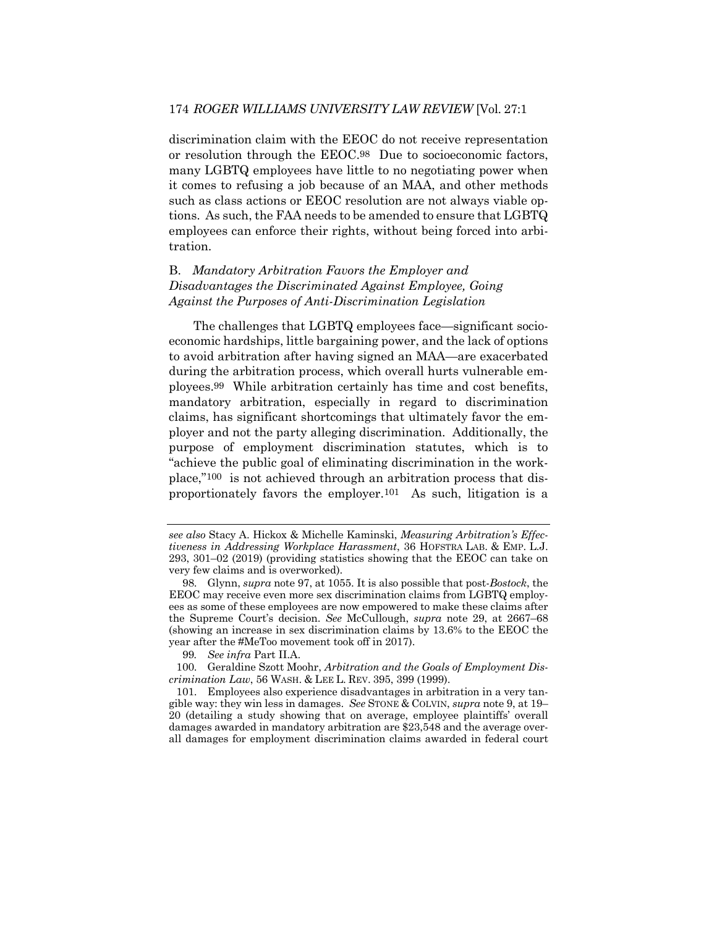discrimination claim with the EEOC do not receive representation or resolution through the EEOC.98 Due to socioeconomic factors, many LGBTQ employees have little to no negotiating power when it comes to refusing a job because of an MAA, and other methods such as class actions or EEOC resolution are not always viable options. As such, the FAA needs to be amended to ensure that LGBTQ employees can enforce their rights, without being forced into arbitration.

## B. *Mandatory Arbitration Favors the Employer and Disadvantages the Discriminated Against Employee, Going Against the Purposes of Anti-Discrimination Legislation*

The challenges that LGBTQ employees face—significant socioeconomic hardships, little bargaining power, and the lack of options to avoid arbitration after having signed an MAA—are exacerbated during the arbitration process, which overall hurts vulnerable employees.99 While arbitration certainly has time and cost benefits, mandatory arbitration, especially in regard to discrimination claims, has significant shortcomings that ultimately favor the employer and not the party alleging discrimination. Additionally, the purpose of employment discrimination statutes, which is to "achieve the public goal of eliminating discrimination in the workplace,"100 is not achieved through an arbitration process that disproportionately favors the employer.101 As such, litigation is a

100. Geraldine Szott Moohr, *Arbitration and the Goals of Employment Discrimination Law*, 56 WASH. & LEE L. REV. 395, 399 (1999).

101. Employees also experience disadvantages in arbitration in a very tangible way: they win less in damages. *See* STONE & COLVIN, *supra* note 9, at 19– 20 (detailing a study showing that on average, employee plaintiffs' overall damages awarded in mandatory arbitration are \$23,548 and the average overall damages for employment discrimination claims awarded in federal court

*see also* Stacy A. Hickox & Michelle Kaminski, *Measuring Arbitration's Effectiveness in Addressing Workplace Harassment*, 36 HOFSTRA LAB. & EMP. L.J. 293, 301–02 (2019) (providing statistics showing that the EEOC can take on very few claims and is overworked).

<sup>98.</sup> Glynn, *supra* note 97, at 1055. It is also possible that post-*Bostock*, the EEOC may receive even more sex discrimination claims from LGBTQ employees as some of these employees are now empowered to make these claims after the Supreme Court's decision. *See* McCullough, *supra* note 29, at 2667–68 (showing an increase in sex discrimination claims by 13.6% to the EEOC the year after the #MeToo movement took off in 2017).

<sup>99</sup>*. See infra* Part II.A.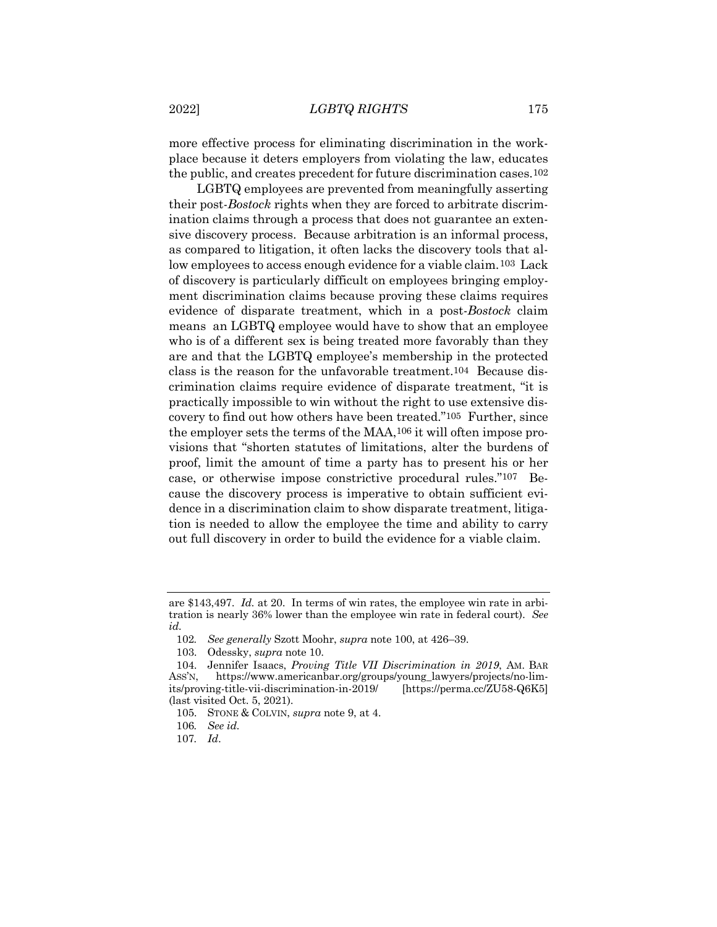more effective process for eliminating discrimination in the workplace because it deters employers from violating the law, educates the public, and creates precedent for future discrimination cases.102

LGBTQ employees are prevented from meaningfully asserting their post-*Bostock* rights when they are forced to arbitrate discrimination claims through a process that does not guarantee an extensive discovery process. Because arbitration is an informal process, as compared to litigation, it often lacks the discovery tools that allow employees to access enough evidence for a viable claim.103 Lack of discovery is particularly difficult on employees bringing employment discrimination claims because proving these claims requires evidence of disparate treatment, which in a post-*Bostock* claim means an LGBTQ employee would have to show that an employee who is of a different sex is being treated more favorably than they are and that the LGBTQ employee's membership in the protected class is the reason for the unfavorable treatment.104 Because discrimination claims require evidence of disparate treatment, "it is practically impossible to win without the right to use extensive discovery to find out how others have been treated."105 Further, since the employer sets the terms of the MAA,106 it will often impose provisions that "shorten statutes of limitations, alter the burdens of proof, limit the amount of time a party has to present his or her case, or otherwise impose constrictive procedural rules."107 Because the discovery process is imperative to obtain sufficient evidence in a discrimination claim to show disparate treatment, litigation is needed to allow the employee the time and ability to carry out full discovery in order to build the evidence for a viable claim.

are \$143,497. *Id.* at 20. In terms of win rates, the employee win rate in arbitration is nearly 36% lower than the employee win rate in federal court). *See id.*

<sup>102</sup>*. See generally* Szott Moohr, *supra* note 100, at 426–39.

<sup>103.</sup> Odessky, *supra* note 10.

<sup>104.</sup> Jennifer Isaacs, *Proving Title VII Discrimination in 2019*, AM. BAR ASS'N, https://www.americanbar.org/groups/young\_lawyers/projects/no-limits/proving-title-vii-discrimination-in-2019/ [https://perma.cc/ZU58-Q6K5] (last visited Oct. 5, 2021).

<sup>105.</sup> STONE & COLVIN, *supra* note 9, at 4.

<sup>106</sup>*. See id.*

<sup>107</sup>*. Id*.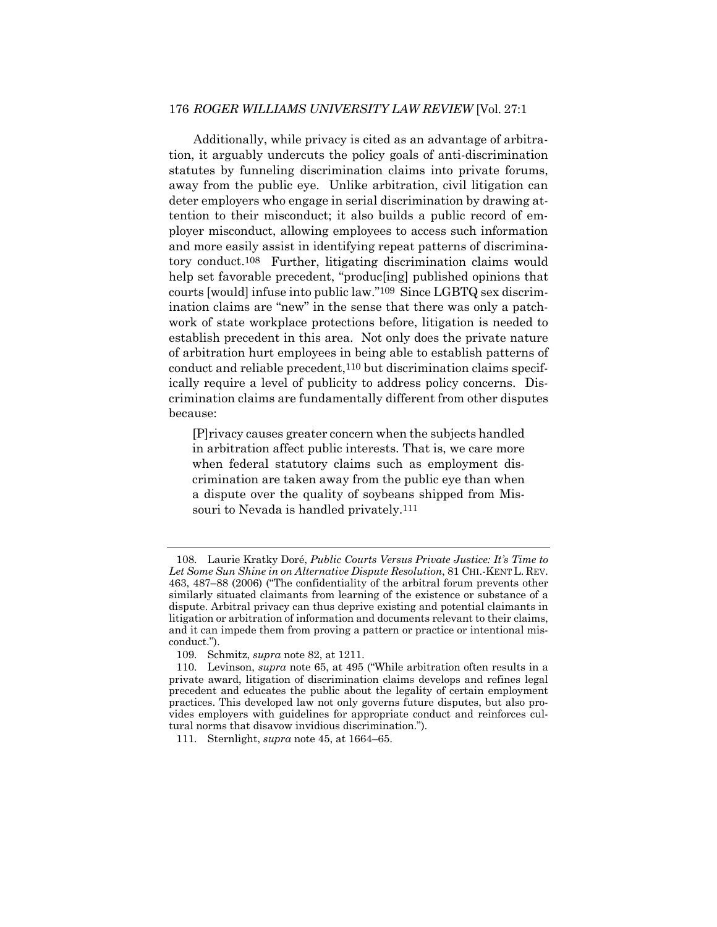#### 176 *ROGER WILLIAMS UNIVERSITY LAW REVIEW* [Vol. 27:1

Additionally, while privacy is cited as an advantage of arbitration, it arguably undercuts the policy goals of anti-discrimination statutes by funneling discrimination claims into private forums, away from the public eye. Unlike arbitration, civil litigation can deter employers who engage in serial discrimination by drawing attention to their misconduct; it also builds a public record of employer misconduct, allowing employees to access such information and more easily assist in identifying repeat patterns of discriminatory conduct.108 Further, litigating discrimination claims would help set favorable precedent, "produc[ing] published opinions that courts [would] infuse into public law."109 Since LGBTQ sex discrimination claims are "new" in the sense that there was only a patchwork of state workplace protections before, litigation is needed to establish precedent in this area. Not only does the private nature of arbitration hurt employees in being able to establish patterns of conduct and reliable precedent,110 but discrimination claims specifically require a level of publicity to address policy concerns. Discrimination claims are fundamentally different from other disputes because:

[P]rivacy causes greater concern when the subjects handled in arbitration affect public interests. That is, we care more when federal statutory claims such as employment discrimination are taken away from the public eye than when a dispute over the quality of soybeans shipped from Missouri to Nevada is handled privately.111

<sup>108.</sup> Laurie Kratky Doré, *Public Courts Versus Private Justice: It's Time to Let Some Sun Shine in on Alternative Dispute Resolution*, 81 CHI.-KENT L. REV. 463, 487–88 (2006) ("The confidentiality of the arbitral forum prevents other similarly situated claimants from learning of the existence or substance of a dispute. Arbitral privacy can thus deprive existing and potential claimants in litigation or arbitration of information and documents relevant to their claims, and it can impede them from proving a pattern or practice or intentional misconduct.").

<sup>109.</sup> Schmitz, *supra* note 82, at 1211.

<sup>110.</sup> Levinson, *supra* note 65, at 495 ("While arbitration often results in a private award, litigation of discrimination claims develops and refines legal precedent and educates the public about the legality of certain employment practices. This developed law not only governs future disputes, but also provides employers with guidelines for appropriate conduct and reinforces cultural norms that disavow invidious discrimination.").

<sup>111.</sup> Sternlight, *supra* note 45, at 1664–65.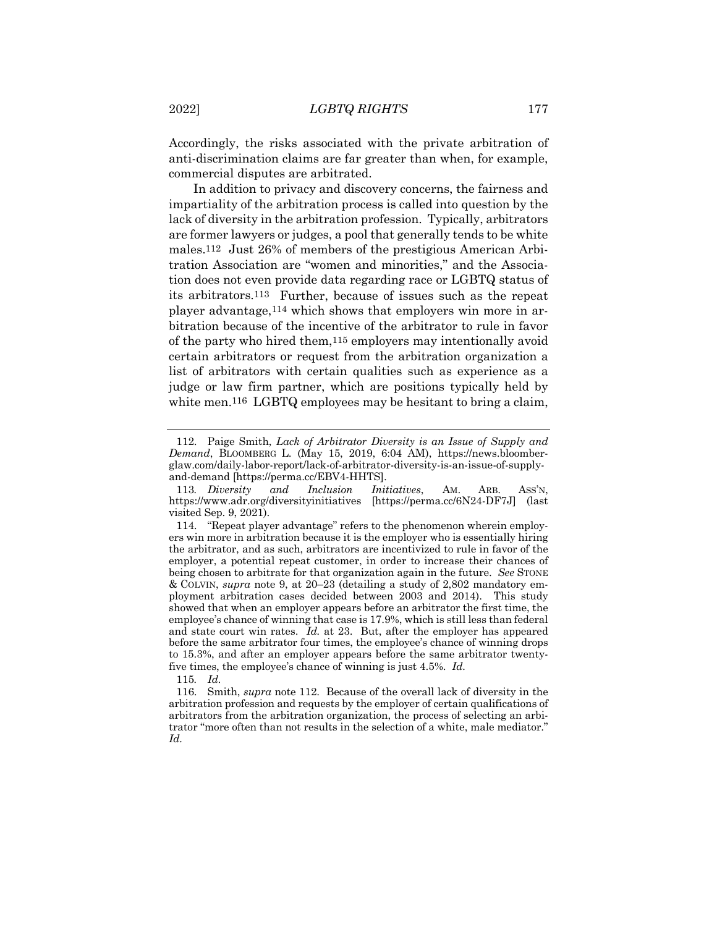Accordingly, the risks associated with the private arbitration of anti-discrimination claims are far greater than when, for example, commercial disputes are arbitrated.

In addition to privacy and discovery concerns, the fairness and impartiality of the arbitration process is called into question by the lack of diversity in the arbitration profession. Typically, arbitrators are former lawyers or judges, a pool that generally tends to be white males.112 Just 26% of members of the prestigious American Arbitration Association are "women and minorities," and the Association does not even provide data regarding race or LGBTQ status of its arbitrators.113 Further, because of issues such as the repeat player advantage,114 which shows that employers win more in arbitration because of the incentive of the arbitrator to rule in favor of the party who hired them,115 employers may intentionally avoid certain arbitrators or request from the arbitration organization a list of arbitrators with certain qualities such as experience as a judge or law firm partner, which are positions typically held by white men.<sup>116</sup> LGBTQ employees may be hesitant to bring a claim,

115*. Id.*

116. Smith, *supra* note 112. Because of the overall lack of diversity in the arbitration profession and requests by the employer of certain qualifications of arbitrators from the arbitration organization, the process of selecting an arbitrator "more often than not results in the selection of a white, male mediator." *Id.*

<sup>112.</sup> Paige Smith, *Lack of Arbitrator Diversity is an Issue of Supply and Demand*, BLOOMBERG L. (May 15, 2019, 6:04 AM), https://news.bloomberglaw.com/daily-labor-report/lack-of-arbitrator-diversity-is-an-issue-of-supplyand-demand [https://perma.cc/EBV4-HHTS].

<sup>113</sup>*. Diversity and Inclusion Initiatives*, AM. ARB. ASS'N, [https://perma.cc/6N24-DF7J] (last visited Sep. 9, 2021).

<sup>114.</sup> "Repeat player advantage" refers to the phenomenon wherein employers win more in arbitration because it is the employer who is essentially hiring the arbitrator, and as such, arbitrators are incentivized to rule in favor of the employer, a potential repeat customer, in order to increase their chances of being chosen to arbitrate for that organization again in the future. *See* STONE & COLVIN, *supra* note 9, at 20–23 (detailing a study of 2,802 mandatory employment arbitration cases decided between 2003 and 2014). This study showed that when an employer appears before an arbitrator the first time, the employee's chance of winning that case is 17.9%, which is still less than federal and state court win rates. *Id.* at 23. But, after the employer has appeared before the same arbitrator four times, the employee's chance of winning drops to 15.3%, and after an employer appears before the same arbitrator twentyfive times, the employee's chance of winning is just 4.5%. *Id.*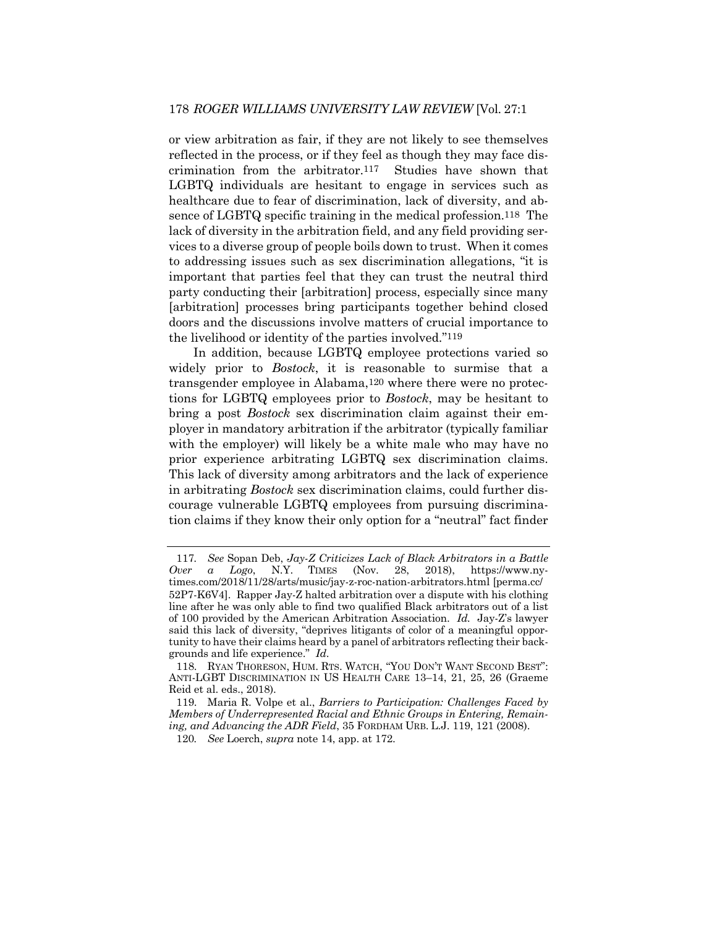or view arbitration as fair, if they are not likely to see themselves reflected in the process, or if they feel as though they may face discrimination from the arbitrator.117 Studies have shown that LGBTQ individuals are hesitant to engage in services such as healthcare due to fear of discrimination, lack of diversity, and absence of LGBTQ specific training in the medical profession.118 The lack of diversity in the arbitration field, and any field providing services to a diverse group of people boils down to trust. When it comes to addressing issues such as sex discrimination allegations, "it is important that parties feel that they can trust the neutral third party conducting their [arbitration] process, especially since many [arbitration] processes bring participants together behind closed doors and the discussions involve matters of crucial importance to the livelihood or identity of the parties involved."119

In addition, because LGBTQ employee protections varied so widely prior to *Bostock*, it is reasonable to surmise that a transgender employee in Alabama,120 where there were no protections for LGBTQ employees prior to *Bostock*, may be hesitant to bring a post *Bostock* sex discrimination claim against their employer in mandatory arbitration if the arbitrator (typically familiar with the employer) will likely be a white male who may have no prior experience arbitrating LGBTQ sex discrimination claims. This lack of diversity among arbitrators and the lack of experience in arbitrating *Bostock* sex discrimination claims, could further discourage vulnerable LGBTQ employees from pursuing discrimination claims if they know their only option for a "neutral" fact finder

<sup>117</sup>*. See* Sopan Deb, *Jay-Z Criticizes Lack of Black Arbitrators in a Battle Over a Logo*, N.Y. TIMES (Nov. 28, 2018), https://www.nytimes.com/2018/11/28/arts/music/jay-z-roc-nation-arbitrators.html [perma.cc/ 52P7-K6V4]. Rapper Jay-Z halted arbitration over a dispute with his clothing line after he was only able to find two qualified Black arbitrators out of a list of 100 provided by the American Arbitration Association. *Id.* Jay-Z's lawyer said this lack of diversity, "deprives litigants of color of a meaningful opportunity to have their claims heard by a panel of arbitrators reflecting their backgrounds and life experience." *Id*.

<sup>118.</sup> RYAN THORESON, HUM. RTS. WATCH, "YOU DON'T WANT SECOND BEST": ANTI-LGBT DISCRIMINATION IN US HEALTH CARE 13–14, 21, 25, 26 (Graeme Reid et al. eds., 2018).

<sup>119.</sup> Maria R. Volpe et al., *Barriers to Participation: Challenges Faced by Members of Underrepresented Racial and Ethnic Groups in Entering, Remaining, and Advancing the ADR Field*, 35 FORDHAM URB. L.J. 119, 121 (2008).

<sup>120</sup>*. See* Loerch, *supra* note 14, app. at 172.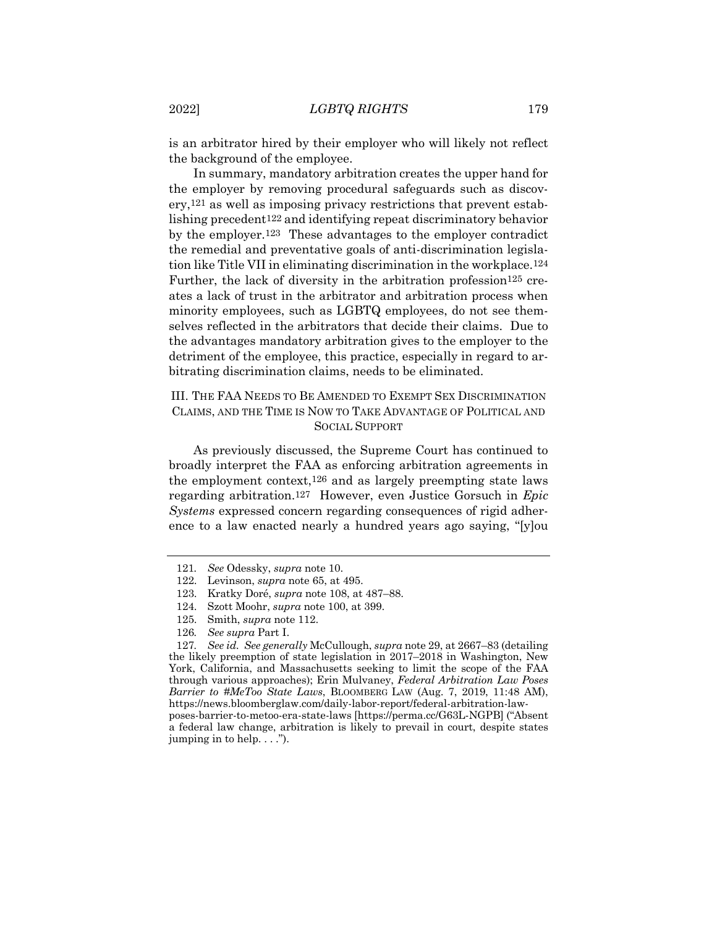is an arbitrator hired by their employer who will likely not reflect the background of the employee.

In summary, mandatory arbitration creates the upper hand for the employer by removing procedural safeguards such as discovery,121 as well as imposing privacy restrictions that prevent establishing precedent122 and identifying repeat discriminatory behavior by the employer.123 These advantages to the employer contradict the remedial and preventative goals of anti-discrimination legislation like Title VII in eliminating discrimination in the workplace.124 Further, the lack of diversity in the arbitration profession<sup>125</sup> creates a lack of trust in the arbitrator and arbitration process when minority employees, such as LGBTQ employees, do not see themselves reflected in the arbitrators that decide their claims. Due to the advantages mandatory arbitration gives to the employer to the detriment of the employee, this practice, especially in regard to arbitrating discrimination claims, needs to be eliminated.

## III. THE FAA NEEDS TO BE AMENDED TO EXEMPT SEX DISCRIMINATION CLAIMS, AND THE TIME IS NOW TO TAKE ADVANTAGE OF POLITICAL AND SOCIAL SUPPORT

As previously discussed, the Supreme Court has continued to broadly interpret the FAA as enforcing arbitration agreements in the employment context,126 and as largely preempting state laws regarding arbitration.127 However, even Justice Gorsuch in *Epic Systems* expressed concern regarding consequences of rigid adherence to a law enacted nearly a hundred years ago saying, "[y]ou

jumping in to help. . . .").

127*. See id. See generally* McCullough, *supra* note 29, at 2667–83 (detailing the likely preemption of state legislation in 2017–2018 in Washington, New York, California, and Massachusetts seeking to limit the scope of the FAA through various approaches); Erin Mulvaney, *Federal Arbitration Law Poses Barrier to #MeToo State Laws*, BLOOMBERG LAW (Aug. 7, 2019, 11:48 AM), https://news.bloomberglaw.com/daily-labor-report/federal-arbitration-lawposes-barrier-to-metoo-era-state-laws [https://perma.cc/G63L-NGPB] ("Absent a federal law change, arbitration is likely to prevail in court, despite states

<sup>121</sup>*. See* Odessky, *supra* note 10.

<sup>122.</sup> Levinson, *supra* note 65, at 495.

<sup>123.</sup> Kratky Doré, *supra* note 108, at 487–88.

<sup>124.</sup> Szott Moohr, *supra* note 100, at 399.

<sup>125.</sup> Smith, *supra* note 112.

<sup>126</sup>*. See supra* Part I.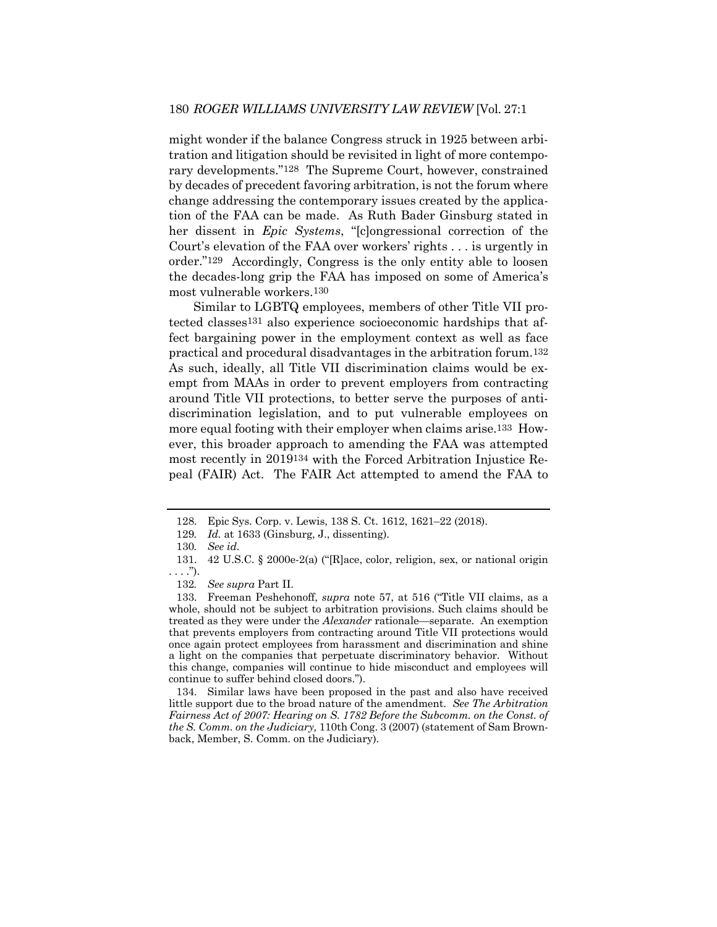might wonder if the balance Congress struck in 1925 between arbitration and litigation should be revisited in light of more contemporary developments."128 The Supreme Court, however, constrained by decades of precedent favoring arbitration, is not the forum where change addressing the contemporary issues created by the application of the FAA can be made. As Ruth Bader Ginsburg stated in her dissent in *Epic Systems*, "[c]ongressional correction of the Court's elevation of the FAA over workers' rights . . . is urgently in order."129 Accordingly, Congress is the only entity able to loosen the decades-long grip the FAA has imposed on some of America's most vulnerable workers.130

Similar to LGBTQ employees, members of other Title VII protected classes131 also experience socioeconomic hardships that affect bargaining power in the employment context as well as face practical and procedural disadvantages in the arbitration forum.132 As such, ideally, all Title VII discrimination claims would be exempt from MAAs in order to prevent employers from contracting around Title VII protections, to better serve the purposes of antidiscrimination legislation, and to put vulnerable employees on more equal footing with their employer when claims arise.133 However, this broader approach to amending the FAA was attempted most recently in 2019134 with the Forced Arbitration Injustice Repeal (FAIR) Act. The FAIR Act attempted to amend the FAA to

134. Similar laws have been proposed in the past and also have received little support due to the broad nature of the amendment. *See The Arbitration Fairness Act of 2007: Hearing on S. 1782 Before the Subcomm. on the Const. of the S. Comm. on the Judiciary,* 110th Cong. 3 (2007) (statement of Sam Brownback, Member, S. Comm. on the Judiciary).

<sup>128.</sup> Epic Sys. Corp. v. Lewis, 138 S. Ct. 1612, 1621–22 (2018).

<sup>129</sup>*. Id.* at 1633 (Ginsburg, J., dissenting).

<sup>130</sup>*. See id.*

<sup>131.</sup> 42 U.S.C. § 2000e-2(a) ("[R]ace, color, religion, sex, or national origin . . . .").

<sup>132</sup>*. See supra* Part II.

<sup>133.</sup> Freeman Peshehonoff, *supra* note 57, at 516 ("Title VII claims, as a whole, should not be subject to arbitration provisions. Such claims should be treated as they were under the *Alexander* rationale—separate. An exemption that prevents employers from contracting around Title VII protections would once again protect employees from harassment and discrimination and shine a light on the companies that perpetuate discriminatory behavior. Without this change, companies will continue to hide misconduct and employees will continue to suffer behind closed doors.").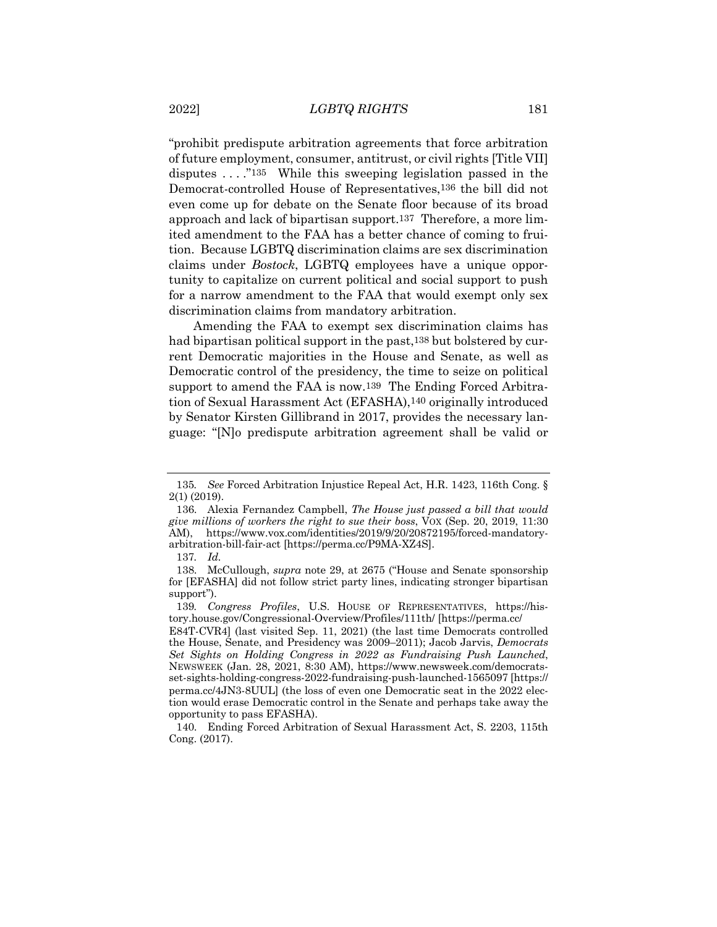"prohibit predispute arbitration agreements that force arbitration of future employment, consumer, antitrust, or civil rights [Title VII] disputes . . . ."135 While this sweeping legislation passed in the Democrat-controlled House of Representatives,136 the bill did not even come up for debate on the Senate floor because of its broad approach and lack of bipartisan support.137 Therefore, a more limited amendment to the FAA has a better chance of coming to fruition. Because LGBTQ discrimination claims are sex discrimination claims under *Bostock*, LGBTQ employees have a unique opportunity to capitalize on current political and social support to push for a narrow amendment to the FAA that would exempt only sex discrimination claims from mandatory arbitration.

Amending the FAA to exempt sex discrimination claims has had bipartisan political support in the past,138 but bolstered by current Democratic majorities in the House and Senate, as well as Democratic control of the presidency, the time to seize on political support to amend the FAA is now.<sup>139</sup> The Ending Forced Arbitration of Sexual Harassment Act (EFASHA),140 originally introduced by Senator Kirsten Gillibrand in 2017, provides the necessary language: "[N]o predispute arbitration agreement shall be valid or

<sup>135</sup>*. See* Forced Arbitration Injustice Repeal Act, H.R. 1423, 116th Cong. § 2(1) (2019).

<sup>136.</sup> Alexia Fernandez Campbell, *The House just passed a bill that would give millions of workers the right to sue their boss*, VOX (Sep. 20, 2019, 11:30 AM), https://www.vox.com/identities/2019/9/20/20872195/forced-mandatoryarbitration-bill-fair-act [https://perma.cc/P9MA-XZ4S].

<sup>137</sup>*. Id.*

<sup>138.</sup> McCullough, *supra* note 29, at 2675 ("House and Senate sponsorship for [EFASHA] did not follow strict party lines, indicating stronger bipartisan support").

<sup>139</sup>*. Congress Profiles*, U.S. HOUSE OF REPRESENTATIVES, https://history.house.gov/Congressional-Overview/Profiles/111th/ [https://perma.cc/

E84T-CVR4] (last visited Sep. 11, 2021) (the last time Democrats controlled the House, Senate, and Presidency was 2009–2011); Jacob Jarvis, *Democrats Set Sights on Holding Congress in 2022 as Fundraising Push Launched*, NEWSWEEK (Jan. 28, 2021, 8:30 AM), https://www.newsweek.com/democratsset-sights-holding-congress-2022-fundraising-push-launched-1565097 [https:// perma.cc/4JN3-8UUL] (the loss of even one Democratic seat in the 2022 election would erase Democratic control in the Senate and perhaps take away the opportunity to pass EFASHA).

<sup>140.</sup> Ending Forced Arbitration of Sexual Harassment Act, S. 2203, 115th Cong. (2017).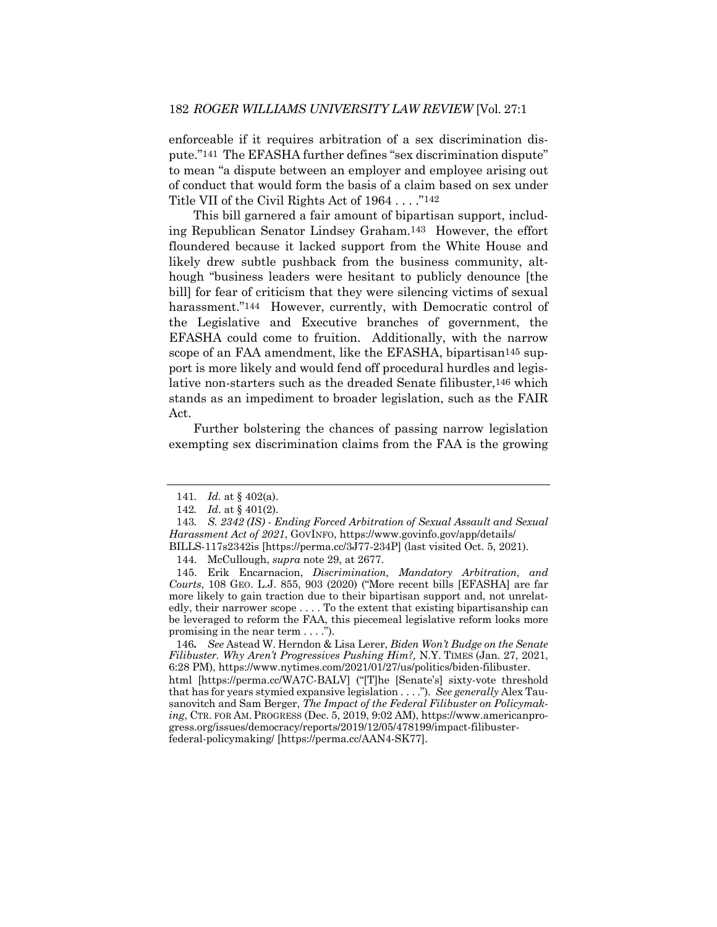enforceable if it requires arbitration of a sex discrimination dispute."141 The EFASHA further defines "sex discrimination dispute" to mean "a dispute between an employer and employee arising out of conduct that would form the basis of a claim based on sex under Title VII of the Civil Rights Act of 1964 . . . ."142

This bill garnered a fair amount of bipartisan support, including Republican Senator Lindsey Graham.143 However, the effort floundered because it lacked support from the White House and likely drew subtle pushback from the business community, although "business leaders were hesitant to publicly denounce [the bill] for fear of criticism that they were silencing victims of sexual harassment."<sup>144</sup> However, currently, with Democratic control of the Legislative and Executive branches of government, the EFASHA could come to fruition. Additionally, with the narrow scope of an FAA amendment, like the EFASHA, bipartisan<sup>145</sup> support is more likely and would fend off procedural hurdles and legislative non-starters such as the dreaded Senate filibuster,<sup>146</sup> which stands as an impediment to broader legislation, such as the FAIR Act.

Further bolstering the chances of passing narrow legislation exempting sex discrimination claims from the FAA is the growing

<sup>141</sup>*. Id.* at § 402(a).

<sup>142</sup>*. Id*. at § 401(2).

<sup>143</sup>*. S. 2342 (IS) - Ending Forced Arbitration of Sexual Assault and Sexual Harassment Act of 2021*, GOVINFO, https://www.govinfo.gov/app/details/ BILLS-117s2342is [https://perma.cc/3J77-234P] (last visited Oct. 5, 2021).

<sup>144.</sup> McCullough, *supra* note 29, at 2677.

<sup>145.</sup> Erik Encarnacion, *Discrimination, Mandatory Arbitration, and Courts*, 108 GEO. L.J. 855, 903 (2020) ("More recent bills [EFASHA] are far more likely to gain traction due to their bipartisan support and, not unrelatedly, their narrower scope . . . . To the extent that existing bipartisanship can be leveraged to reform the FAA, this piecemeal legislative reform looks more promising in the near term . . . .").

<sup>146</sup>*. See* Astead W. Herndon & Lisa Lerer, *Biden Won't Budge on the Senate Filibuster. Why Aren't Progressives Pushing Him?,* N.Y. TIMES (Jan. 27, 2021, 6:28 PM), https://www.nytimes.com/2021/01/27/us/politics/biden-filibuster. html [https://perma.cc/WA7C-BALV] ("[T]he [Senate's] sixty-vote threshold that has for years stymied expansive legislation . . . .")*. See generally* Alex Tausanovitch and Sam Berger, *The Impact of the Federal Filibuster on Policymaking*, CTR. FOR AM. PROGRESS (Dec. 5, 2019, 9:02 AM), https://www.americanprogress.org/issues/democracy/reports/2019/12/05/478199/impact-filibusterfederal-policymaking/ [https://perma.cc/AAN4-SK77].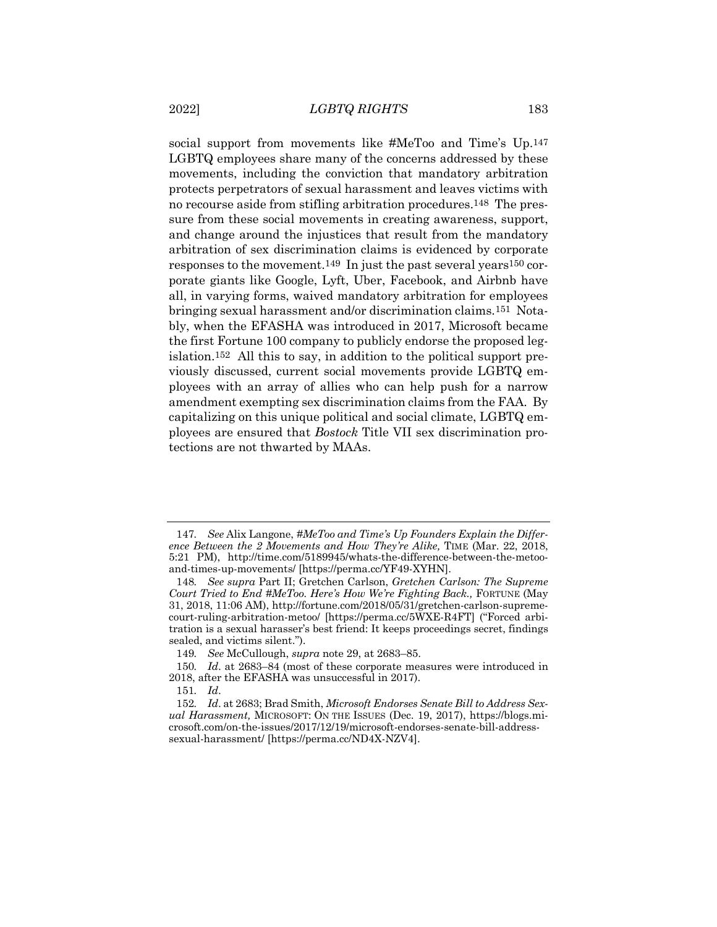social support from movements like #MeToo and Time's Up.<sup>147</sup> LGBTQ employees share many of the concerns addressed by these movements, including the conviction that mandatory arbitration protects perpetrators of sexual harassment and leaves victims with no recourse aside from stifling arbitration procedures.148 The pressure from these social movements in creating awareness, support, and change around the injustices that result from the mandatory arbitration of sex discrimination claims is evidenced by corporate responses to the movement.149 In just the past several years150 corporate giants like Google, Lyft, Uber, Facebook, and Airbnb have all, in varying forms, waived mandatory arbitration for employees bringing sexual harassment and/or discrimination claims.151 Notably, when the EFASHA was introduced in 2017, Microsoft became the first Fortune 100 company to publicly endorse the proposed legislation.152 All this to say, in addition to the political support previously discussed, current social movements provide LGBTQ employees with an array of allies who can help push for a narrow amendment exempting sex discrimination claims from the FAA. By capitalizing on this unique political and social climate, LGBTQ employees are ensured that *Bostock* Title VII sex discrimination protections are not thwarted by MAAs.

<sup>147</sup>*. See* Alix Langone, *#MeToo and Time's Up Founders Explain the Difference Between the 2 Movements and How They're Alike,* TIME (Mar. 22, 2018, 5:21 PM), http://time.com/5189945/whats-the-difference-between-the-metooand-times-up-movements/ [https://perma.cc/YF49-XYHN].

<sup>148</sup>*. See supra* Part II; Gretchen Carlson, *Gretchen Carlson: The Supreme Court Tried to End #MeToo. Here's How We're Fighting Back.,* FORTUNE (May 31, 2018, 11:06 AM), http://fortune.com/2018/05/31/gretchen-carlson-supremecourt-ruling-arbitration-metoo/ [https://perma.cc/5WXE-R4FT] ("Forced arbitration is a sexual harasser's best friend: It keeps proceedings secret, findings sealed, and victims silent.").

<sup>149</sup>*. See* McCullough, *supra* note 29, at 2683–85.

<sup>150</sup>*. Id*. at 2683–84 (most of these corporate measures were introduced in 2018, after the EFASHA was unsuccessful in 2017).

<sup>151</sup>*. Id*.

<sup>152</sup>*. Id*. at 2683; Brad Smith, *Microsoft Endorses Senate Bill to Address Sexual Harassment,* MICROSOFT: ON THE ISSUES (Dec. 19, 2017), https://blogs.microsoft.com/on-the-issues/2017/12/19/microsoft-endorses-senate-bill-addresssexual-harassment/ [https://perma.cc/ND4X-NZV4].